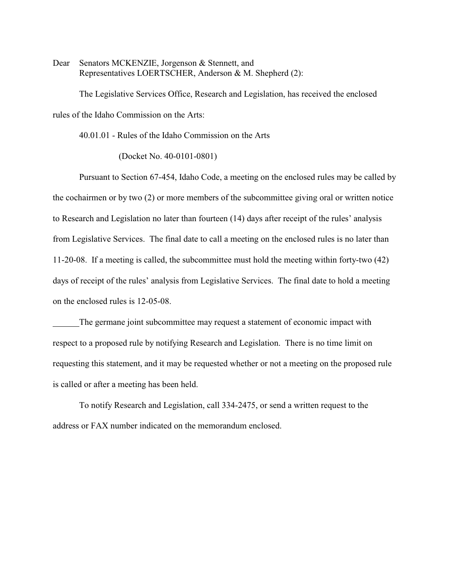Dear Senators MCKENZIE, Jorgenson & Stennett, and Representatives LOERTSCHER, Anderson & M. Shepherd (2):

The Legislative Services Office, Research and Legislation, has received the enclosed rules of the Idaho Commission on the Arts:

40.01.01 - Rules of the Idaho Commission on the Arts

(Docket No. 40-0101-0801)

Pursuant to Section 67-454, Idaho Code, a meeting on the enclosed rules may be called by the cochairmen or by two (2) or more members of the subcommittee giving oral or written notice to Research and Legislation no later than fourteen (14) days after receipt of the rules' analysis from Legislative Services. The final date to call a meeting on the enclosed rules is no later than 11-20-08. If a meeting is called, the subcommittee must hold the meeting within forty-two (42) days of receipt of the rules' analysis from Legislative Services. The final date to hold a meeting on the enclosed rules is 12-05-08.

The germane joint subcommittee may request a statement of economic impact with respect to a proposed rule by notifying Research and Legislation. There is no time limit on requesting this statement, and it may be requested whether or not a meeting on the proposed rule is called or after a meeting has been held.

To notify Research and Legislation, call 334-2475, or send a written request to the address or FAX number indicated on the memorandum enclosed.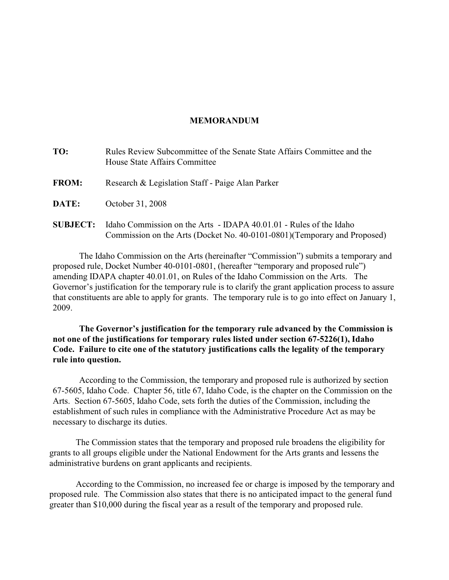### **MEMORANDUM**

| TO:             | Rules Review Subcommittee of the Senate State Affairs Committee and the<br>House State Affairs Committee                                        |
|-----------------|-------------------------------------------------------------------------------------------------------------------------------------------------|
| <b>FROM:</b>    | Research & Legislation Staff - Paige Alan Parker                                                                                                |
| DATE:           | October 31, 2008                                                                                                                                |
| <b>SUBJECT:</b> | Idaho Commission on the Arts - IDAPA 40.01.01 - Rules of the Idaho<br>Commission on the Arts (Docket No. 40-0101-0801) (Temporary and Proposed) |

The Idaho Commission on the Arts (hereinafter "Commission") submits a temporary and proposed rule, Docket Number 40-0101-0801, (hereafter "temporary and proposed rule") amending IDAPA chapter 40.01.01, on Rules of the Idaho Commission on the Arts. The Governor's justification for the temporary rule is to clarify the grant application process to assure that constituents are able to apply for grants. The temporary rule is to go into effect on January 1, 2009.

**The Governor's justification for the temporary rule advanced by the Commission is not one of the justifications for temporary rules listed under section 67-5226(1), Idaho Code. Failure to cite one of the statutory justifications calls the legality of the temporary rule into question.**

According to the Commission, the temporary and proposed rule is authorized by section 67-5605, Idaho Code. Chapter 56, title 67, Idaho Code, is the chapter on the Commission on the Arts. Section 67-5605, Idaho Code, sets forth the duties of the Commission, including the establishment of such rules in compliance with the Administrative Procedure Act as may be necessary to discharge its duties.

The Commission states that the temporary and proposed rule broadens the eligibility for grants to all groups eligible under the National Endowment for the Arts grants and lessens the administrative burdens on grant applicants and recipients.

According to the Commission, no increased fee or charge is imposed by the temporary and proposed rule. The Commission also states that there is no anticipated impact to the general fund greater than \$10,000 during the fiscal year as a result of the temporary and proposed rule.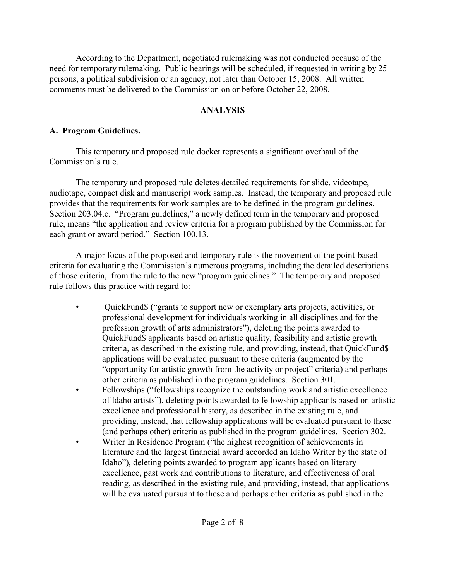According to the Department, negotiated rulemaking was not conducted because of the need for temporary rulemaking. Public hearings will be scheduled, if requested in writing by 25 persons, a political subdivision or an agency, not later than October 15, 2008. All written comments must be delivered to the Commission on or before October 22, 2008.

# **ANALYSIS**

# **A. Program Guidelines.**

This temporary and proposed rule docket represents a significant overhaul of the Commission's rule.

The temporary and proposed rule deletes detailed requirements for slide, videotape, audiotape, compact disk and manuscript work samples. Instead, the temporary and proposed rule provides that the requirements for work samples are to be defined in the program guidelines. Section 203.04.c. "Program guidelines," a newly defined term in the temporary and proposed rule, means "the application and review criteria for a program published by the Commission for each grant or award period." Section 100.13.

A major focus of the proposed and temporary rule is the movement of the point-based criteria for evaluating the Commission's numerous programs, including the detailed descriptions of those criteria, from the rule to the new "program guidelines." The temporary and proposed rule follows this practice with regard to:

- QuickFund\$ ("grants to support new or exemplary arts projects, activities, or professional development for individuals working in all disciplines and for the profession growth of arts administrators"), deleting the points awarded to QuickFund\$ applicants based on artistic quality, feasibility and artistic growth criteria, as described in the existing rule, and providing, instead, that QuickFund\$ applications will be evaluated pursuant to these criteria (augmented by the "opportunity for artistic growth from the activity or project" criteria) and perhaps other criteria as published in the program guidelines. Section 301.
- Fellowships ("fellowships recognize the outstanding work and artistic excellence of Idaho artists"), deleting points awarded to fellowship applicants based on artistic excellence and professional history, as described in the existing rule, and providing, instead, that fellowship applications will be evaluated pursuant to these (and perhaps other) criteria as published in the program guidelines. Section 302.
- Writer In Residence Program ("the highest recognition of achievements in literature and the largest financial award accorded an Idaho Writer by the state of Idaho"), deleting points awarded to program applicants based on literary excellence, past work and contributions to literature, and effectiveness of oral reading, as described in the existing rule, and providing, instead, that applications will be evaluated pursuant to these and perhaps other criteria as published in the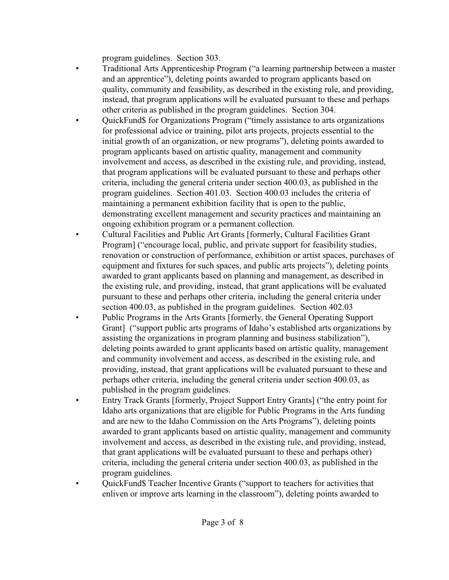program guidelines. Section 303.

- Traditional Arts Apprenticeship Program ("a learning partnership between a master and an apprentice"), deleting points awarded to program applicants based on quality, community and feasibility, as described in the existing rule, and providing, instead, that program applications will be evaluated pursuant to these and perhaps other criteria as published in the program guidelines. Section 304.
- QuickFund\$ for Organizations Program ("timely assistance to arts organizations for professional advice or training, pilot arts projects, projects essential to the initial growth of an organization, or new programs"), deleting points awarded to program applicants based on artistic quality, management and community involvement and access, as described in the existing rule, and providing, instead, that program applications will be evaluated pursuant to these and perhaps other criteria, including the general criteria under section 400.03, as published in the program guidelines. Section 401.03. Section 400.03 includes the criteria of maintaining a permanent exhibition facility that is open to the public, demonstrating excellent management and security practices and maintaining an ongoing exhibition program or a permanent collection.
- Cultural Facilities and Public Art Grants [formerly, Cultural Facilities Grant Program] ("encourage local, public, and private support for feasibility studies, renovation or construction of performance, exhibition or artist spaces, purchases of equipment and fixtures for such spaces, and public arts projects"), deleting points awarded to grant applicants based on planning and management, as described in the existing rule, and providing, instead, that grant applications will be evaluated pursuant to these and perhaps other criteria, including the general criteria under section 400.03, as published in the program guidelines. Section 402.03
- Public Programs in the Arts Grants [formerly, the General Operating Support Grant] ("support public arts programs of Idaho's established arts organizations by assisting the organizations in program planning and business stabilization"), deleting points awarded to grant applicants based on artistic quality, management and community involvement and access, as described in the existing rule, and providing, instead, that grant applications will be evaluated pursuant to these and perhaps other criteria, including the general criteria under section 400.03, as published in the program guidelines.
- Entry Track Grants [formerly, Project Support Entry Grants] ("the entry point for Idaho arts organizations that are eligible for Public Programs in the Arts funding and are new to the Idaho Commission on the Arts Programs"), deleting points awarded to grant applicants based on artistic quality, management and community involvement and access, as described in the existing rule, and providing, instead, that grant applications will be evaluated pursuant to these and perhaps other) criteria, including the general criteria under section 400.03, as published in the program guidelines.
- QuickFund\$ Teacher Incentive Grants ("support to teachers for activities that enliven or improve arts learning in the classroom"), deleting points awarded to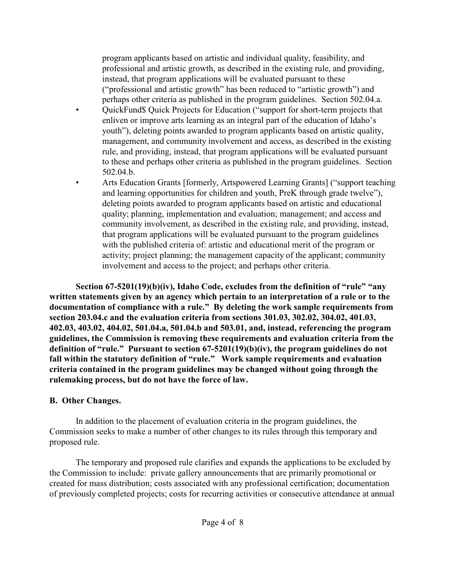program applicants based on artistic and individual quality, feasibility, and professional and artistic growth, as described in the existing rule, and providing, instead, that program applications will be evaluated pursuant to these ("professional and artistic growth" has been reduced to "artistic growth") and perhaps other criteria as published in the program guidelines. Section 502.04.a.

- QuickFund\$ Quick Projects for Education ("support for short-term projects that enliven or improve arts learning as an integral part of the education of Idaho's youth"), deleting points awarded to program applicants based on artistic quality, management, and community involvement and access, as described in the existing rule, and providing, instead, that program applications will be evaluated pursuant to these and perhaps other criteria as published in the program guidelines. Section 502.04.b.
- Arts Education Grants [formerly, Artspowered Learning Grants] ("support teaching and learning opportunities for children and youth, PreK through grade twelve"), deleting points awarded to program applicants based on artistic and educational quality; planning, implementation and evaluation; management; and access and community involvement, as described in the existing rule, and providing, instead, that program applications will be evaluated pursuant to the program guidelines with the published criteria of: artistic and educational merit of the program or activity; project planning; the management capacity of the applicant; community involvement and access to the project; and perhaps other criteria.

**Section 67-5201(19)(b)(iv), Idaho Code, excludes from the definition of "rule" "any written statements given by an agency which pertain to an interpretation of a rule or to the documentation of compliance with a rule." By deleting the work sample requirements from section 203.04.c and the evaluation criteria from sections 301.03, 302.02, 304.02, 401.03, 402.03, 403.02, 404.02, 501.04.a, 501.04.b and 503.01, and, instead, referencing the program guidelines, the Commission is removing these requirements and evaluation criteria from the definition of "rule." Pursuant to section 67-5201(19)(b)(iv), the program guidelines do not fall within the statutory definition of "rule." Work sample requirements and evaluation criteria contained in the program guidelines may be changed without going through the rulemaking process, but do not have the force of law.** 

## **B. Other Changes.**

In addition to the placement of evaluation criteria in the program guidelines, the Commission seeks to make a number of other changes to its rules through this temporary and proposed rule.

The temporary and proposed rule clarifies and expands the applications to be excluded by the Commission to include: private gallery announcements that are primarily promotional or created for mass distribution; costs associated with any professional certification; documentation of previously completed projects; costs for recurring activities or consecutive attendance at annual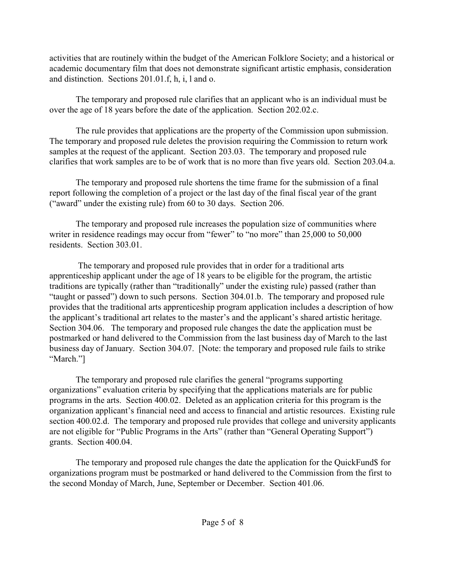activities that are routinely within the budget of the American Folklore Society; and a historical or academic documentary film that does not demonstrate significant artistic emphasis, consideration and distinction. Sections 201.01.f, h, i, l and o.

The temporary and proposed rule clarifies that an applicant who is an individual must be over the age of 18 years before the date of the application. Section 202.02.c.

The rule provides that applications are the property of the Commission upon submission. The temporary and proposed rule deletes the provision requiring the Commission to return work samples at the request of the applicant. Section 203.03. The temporary and proposed rule clarifies that work samples are to be of work that is no more than five years old. Section 203.04.a.

The temporary and proposed rule shortens the time frame for the submission of a final report following the completion of a project or the last day of the final fiscal year of the grant ("award" under the existing rule) from 60 to 30 days. Section 206.

The temporary and proposed rule increases the population size of communities where writer in residence readings may occur from "fewer" to "no more" than 25,000 to 50,000 residents. Section 303.01.

 The temporary and proposed rule provides that in order for a traditional arts apprenticeship applicant under the age of 18 years to be eligible for the program, the artistic traditions are typically (rather than "traditionally" under the existing rule) passed (rather than "taught or passed") down to such persons. Section 304.01.b. The temporary and proposed rule provides that the traditional arts apprenticeship program application includes a description of how the applicant's traditional art relates to the master's and the applicant's shared artistic heritage. Section 304.06. The temporary and proposed rule changes the date the application must be postmarked or hand delivered to the Commission from the last business day of March to the last business day of January. Section 304.07. [Note: the temporary and proposed rule fails to strike "March."]

The temporary and proposed rule clarifies the general "programs supporting organizations" evaluation criteria by specifying that the applications materials are for public programs in the arts. Section 400.02. Deleted as an application criteria for this program is the organization applicant's financial need and access to financial and artistic resources. Existing rule section 400.02.d. The temporary and proposed rule provides that college and university applicants are not eligible for "Public Programs in the Arts" (rather than "General Operating Support") grants. Section 400.04.

The temporary and proposed rule changes the date the application for the QuickFund\$ for organizations program must be postmarked or hand delivered to the Commission from the first to the second Monday of March, June, September or December. Section 401.06.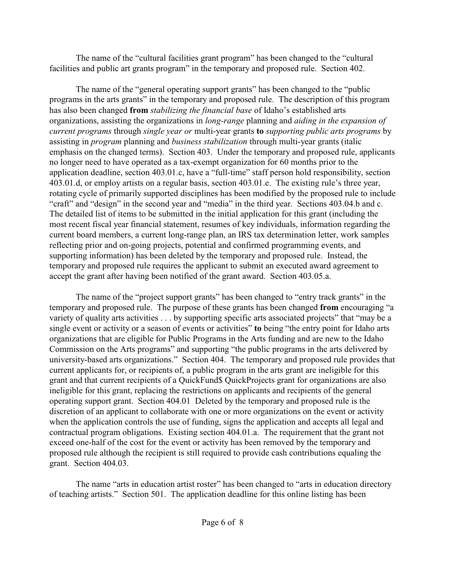The name of the "cultural facilities grant program" has been changed to the "cultural facilities and public art grants program" in the temporary and proposed rule. Section 402.

The name of the "general operating support grants" has been changed to the "public programs in the arts grants" in the temporary and proposed rule. The description of this program has also been changed **from** *stabilizing the financial base* of Idaho's established arts organizations, assisting the organizations in *long-range* planning and *aiding in the expansion of current programs* through *single year or* multi-year grants **to** *supporting public arts programs* by assisting in *program* planning and *business stabilization* through multi-year grants (italic emphasis on the changed terms). Section 403. Under the temporary and proposed rule, applicants no longer need to have operated as a tax-exempt organization for 60 months prior to the application deadline, section 403.01.c, have a "full-time" staff person hold responsibility, section 403.01.d, or employ artists on a regular basis, section 403.01.e. The existing rule's three year, rotating cycle of primarily supported disciplines has been modified by the proposed rule to include "craft" and "design" in the second year and "media" in the third year. Sections 403.04.b and c. The detailed list of items to be submitted in the initial application for this grant (including the most recent fiscal year financial statement, resumes of key individuals, information regarding the current board members, a current long-range plan, an IRS tax determination letter, work samples reflecting prior and on-going projects, potential and confirmed programming events, and supporting information) has been deleted by the temporary and proposed rule. Instead, the temporary and proposed rule requires the applicant to submit an executed award agreement to accept the grant after having been notified of the grant award. Section 403.05.a.

The name of the "project support grants" has been changed to "entry track grants" in the temporary and proposed rule. The purpose of these grants has been changed **from** encouraging "a variety of quality arts activities . . . by supporting specific arts associated projects" that "may be a single event or activity or a season of events or activities" **to** being "the entry point for Idaho arts organizations that are eligible for Public Programs in the Arts funding and are new to the Idaho Commission on the Arts programs" and supporting "the public programs in the arts delivered by university-based arts organizations." Section 404. The temporary and proposed rule provides that current applicants for, or recipients of, a public program in the arts grant are ineligible for this grant and that current recipients of a QuickFund\$ QuickProjects grant for organizations are also ineligible for this grant, replacing the restrictions on applicants and recipients of the general operating support grant. Section 404.01 Deleted by the temporary and proposed rule is the discretion of an applicant to collaborate with one or more organizations on the event or activity when the application controls the use of funding, signs the application and accepts all legal and contractual program obligations. Existing section 404.01.a. The requirement that the grant not exceed one-half of the cost for the event or activity has been removed by the temporary and proposed rule although the recipient is still required to provide cash contributions equaling the grant. Section 404.03.

The name "arts in education artist roster" has been changed to "arts in education directory of teaching artists." Section 501. The application deadline for this online listing has been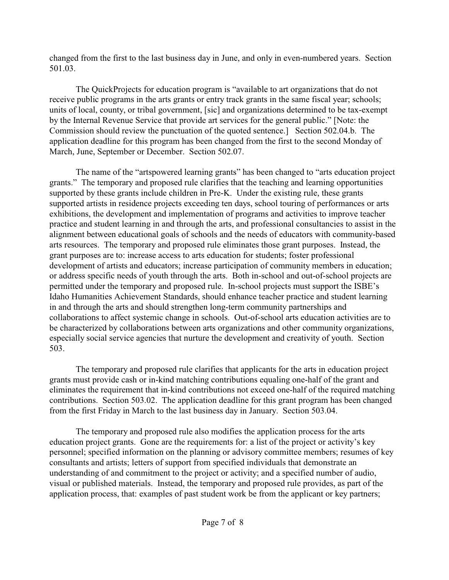changed from the first to the last business day in June, and only in even-numbered years. Section 501.03.

The QuickProjects for education program is "available to art organizations that do not receive public programs in the arts grants or entry track grants in the same fiscal year; schools; units of local, county, or tribal government, [sic] and organizations determined to be tax-exempt by the Internal Revenue Service that provide art services for the general public." [Note: the Commission should review the punctuation of the quoted sentence.] Section 502.04.b. The application deadline for this program has been changed from the first to the second Monday of March, June, September or December. Section 502.07.

The name of the "artspowered learning grants" has been changed to "arts education project grants." The temporary and proposed rule clarifies that the teaching and learning opportunities supported by these grants include children in Pre-K. Under the existing rule, these grants supported artists in residence projects exceeding ten days, school touring of performances or arts exhibitions, the development and implementation of programs and activities to improve teacher practice and student learning in and through the arts, and professional consultancies to assist in the alignment between educational goals of schools and the needs of educators with community-based arts resources. The temporary and proposed rule eliminates those grant purposes. Instead, the grant purposes are to: increase access to arts education for students; foster professional development of artists and educators; increase participation of community members in education; or address specific needs of youth through the arts. Both in-school and out-of-school projects are permitted under the temporary and proposed rule. In-school projects must support the ISBE's Idaho Humanities Achievement Standards, should enhance teacher practice and student learning in and through the arts and should strengthen long-term community partnerships and collaborations to affect systemic change in schools. Out-of-school arts education activities are to be characterized by collaborations between arts organizations and other community organizations, especially social service agencies that nurture the development and creativity of youth. Section 503.

The temporary and proposed rule clarifies that applicants for the arts in education project grants must provide cash or in-kind matching contributions equaling one-half of the grant and eliminates the requirement that in-kind contributions not exceed one-half of the required matching contributions. Section 503.02. The application deadline for this grant program has been changed from the first Friday in March to the last business day in January. Section 503.04.

The temporary and proposed rule also modifies the application process for the arts education project grants. Gone are the requirements for: a list of the project or activity's key personnel; specified information on the planning or advisory committee members; resumes of key consultants and artists; letters of support from specified individuals that demonstrate an understanding of and commitment to the project or activity; and a specified number of audio, visual or published materials. Instead, the temporary and proposed rule provides, as part of the application process, that: examples of past student work be from the applicant or key partners;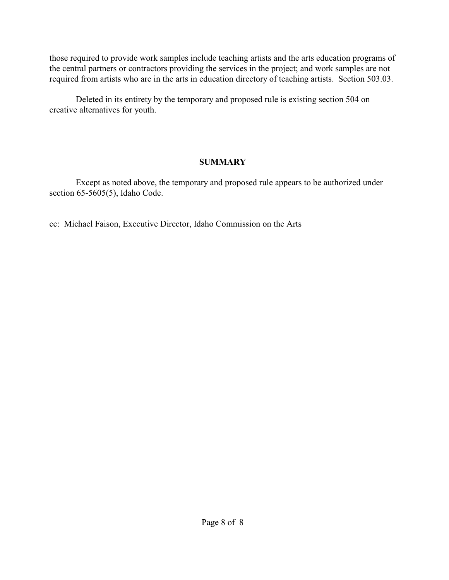those required to provide work samples include teaching artists and the arts education programs of the central partners or contractors providing the services in the project; and work samples are not required from artists who are in the arts in education directory of teaching artists. Section 503.03.

Deleted in its entirety by the temporary and proposed rule is existing section 504 on creative alternatives for youth.

## **SUMMARY**

Except as noted above, the temporary and proposed rule appears to be authorized under section 65-5605(5), Idaho Code.

cc: Michael Faison, Executive Director, Idaho Commission on the Arts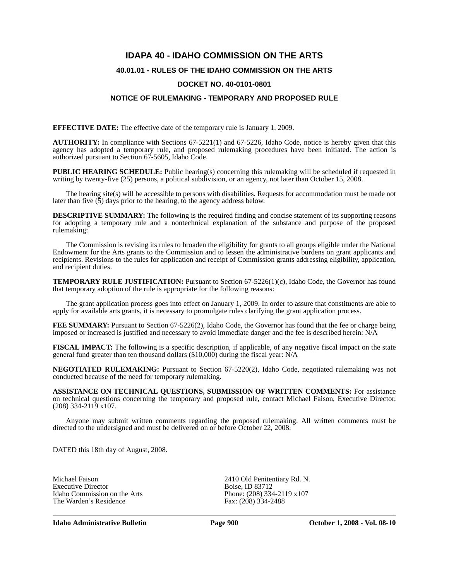# **IDAPA 40 - IDAHO COMMISSION ON THE ARTS**

#### **40.01.01 - RULES OF THE IDAHO COMMISSION ON THE ARTS**

#### **DOCKET NO. 40-0101-0801**

#### **NOTICE OF RULEMAKING - TEMPORARY AND PROPOSED RULE**

**EFFECTIVE DATE:** The effective date of the temporary rule is January 1, 2009.

**AUTHORITY:** In compliance with Sections 67-5221(1) and 67-5226, Idaho Code, notice is hereby given that this agency has adopted a temporary rule, and proposed rulemaking procedures have been initiated. The action is authorized pursuant to Section 67-5605, Idaho Code.

**PUBLIC HEARING SCHEDULE:** Public hearing(s) concerning this rulemaking will be scheduled if requested in writing by twenty-five (25) persons, a political subdivision, or an agency, not later than October 15, 2008.

The hearing site(s) will be accessible to persons with disabilities. Requests for accommodation must be made not later than five  $(5)$  days prior to the hearing, to the agency address below.

**DESCRIPTIVE SUMMARY:** The following is the required finding and concise statement of its supporting reasons for adopting a temporary rule and a nontechnical explanation of the substance and purpose of the proposed rulemaking:

The Commission is revising its rules to broaden the eligibility for grants to all groups eligible under the National Endowment for the Arts grants to the Commission and to lessen the administrative burdens on grant applicants and recipients. Revisions to the rules for application and receipt of Commission grants addressing eligibility, application, and recipient duties.

**TEMPORARY RULE JUSTIFICATION:** Pursuant to Section 67-5226(1)(c), Idaho Code, the Governor has found that temporary adoption of the rule is appropriate for the following reasons:

The grant application process goes into effect on January 1, 2009. In order to assure that constituents are able to apply for available arts grants, it is necessary to promulgate rules clarifying the grant application process.

**FEE SUMMARY:** Pursuant to Section 67-5226(2), Idaho Code, the Governor has found that the fee or charge being imposed or increased is justified and necessary to avoid immediate danger and the fee is described herein: N/A

**FISCAL IMPACT:** The following is a specific description, if applicable, of any negative fiscal impact on the state general fund greater than ten thousand dollars (\$10,000) during the fiscal year: N/A

**NEGOTIATED RULEMAKING:** Pursuant to Section 67-5220(2), Idaho Code, negotiated rulemaking was not conducted because of the need for temporary rulemaking.

**ASSISTANCE ON TECHNICAL QUESTIONS, SUBMISSION OF WRITTEN COMMENTS:** For assistance on technical questions concerning the temporary and proposed rule, contact Michael Faison, Executive Director, (208) 334-2119 x107.

Anyone may submit written comments regarding the proposed rulemaking. All written comments must be directed to the undersigned and must be delivered on or before October 22, 2008.

DATED this 18th day of August, 2008.

Michael Faison 2410 Old Penitentiary Rd. N.<br>Executive Director Boise, ID 83712 Executive Director Idaho Commission on the Arts Phone: (208) 334-2119 x107<br>The Warden's Residence Fax: (208) 334-2488 The Warden's Residence

**Idaho Administrative Bulletin Page 900 October 1, 2008 - Vol. 08-10**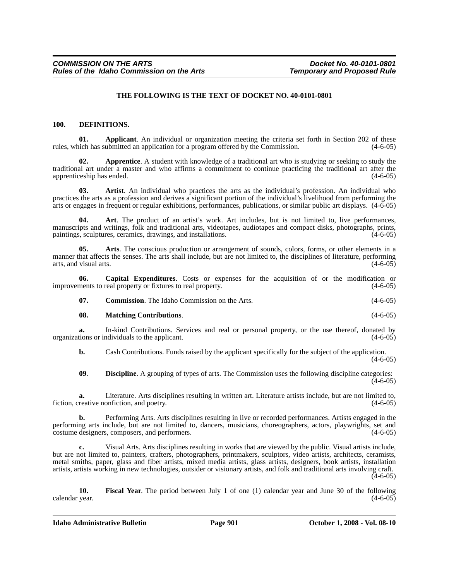#### **THE FOLLOWING IS THE TEXT OF DOCKET NO. 40-0101-0801**

#### **100. DEFINITIONS.**

**01. Applicant**. An individual or organization meeting the criteria set forth in Section 202 of these rules, which has submitted an application for a program offered by the Commission. (4-6-05)

**02.** Apprentice. A student with knowledge of a traditional art who is studying or seeking to study the traditional art under a master and who affirms a commitment to continue practicing the traditional art after the apprenticeship has ended.

**03. Artist**. An individual who practices the arts as the individual's profession. An individual who practices the arts as a profession and derives a significant portion of the individual's livelihood from performing the arts or engages in frequent or regular exhibitions, performances, publications, or similar public art displays. (4-6-05)

**04. Art**. The product of an artist's work. Art includes, but is not limited to, live performances, manuscripts and writings, folk and traditional arts, videotapes, audiotapes and compact disks, photographs, prints, paintings, sculptures, ceramics, drawings, and installations. (4-6-05) (4-6-05)

**05. Arts**. The conscious production or arrangement of sounds, colors, forms, or other elements in a manner that affects the senses. The arts shall include, but are not limited to, the disciplines of literature, performing arts, and visual arts. (4-6-05)

**06.** Capital Expenditures. Costs or expenses for the acquisition of or the modification or ments to real property or fixtures to real property.  $(4-6-05)$ improvements to real property or fixtures to real property.

**07. Commission**. The Idaho Commission on the Arts. (4-6-05)

#### **08. Matching Contributions**. (4-6-05)

**a.** In-kind Contributions. Services and real or personal property, or the use thereof, donated by tions or individuals to the applicant. (4-6-05) organizations or individuals to the applicant.

**b.** Cash Contributions. Funds raised by the applicant specifically for the subject of the application.  $(4-6-05)$ 

**09**. **Discipline**. A grouping of types of arts. The Commission uses the following discipline categories:  $(4-6-05)$ 

**a.** Literature. Arts disciplines resulting in written art. Literature artists include, but are not limited to, reative nonfiction, and poetry. (4-6-05) fiction, creative nonfiction, and poetry.

**b.** Performing Arts. Arts disciplines resulting in live or recorded performances. Artists engaged in the performing arts include, but are not limited to, dancers, musicians, choreographers, actors, playwrights, set and costume designers, composers, and performers. (4-6-05)

**c.** Visual Arts. Arts disciplines resulting in works that are viewed by the public. Visual artists include, but are not limited to, painters, crafters, photographers, printmakers, sculptors, video artists, architects, ceramists, metal smiths, paper, glass and fiber artists, mixed media artists, glass artists, designers, book artists, installation artists, artists working in new technologies, outsider or visionary artists, and folk and traditional arts involving craft.  $(4-6-05)$ 

**10. Fiscal Year**. The period between July 1 of one (1) calendar year and June 30 of the following calendar year. (4-6-05)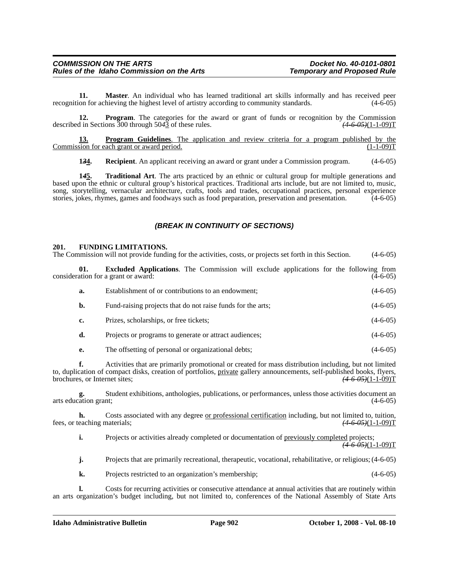**11. Master**. An individual who has learned traditional art skills informally and has received peer recognition for achieving the highest level of artistry according to community standards. (4-6-05)

**12. Program**. The categories for the award or grant of funds or recognition by the Commission described in Sections 300 through 50*4*3 of these rules. *(4-6-05)*(1-1-09)T

**13. Program Guidelines**. The application and review criteria for a program published by the Commission for each grant or award period. (1-1-09)T

**134.** Recipient. An applicant receiving an award or grant under a Commission program. (4-6-05)

**1***4***5. Traditional Art**. The arts practiced by an ethnic or cultural group for multiple generations and based upon the ethnic or cultural group's historical practices. Traditional arts include, but are not limited to, music, song, storytelling, vernacular architecture, crafts, tools and trades, occupational practices, personal experience stories, jokes, rhymes, games and foodways such as food preparation, preservation and presentation. (4-6-05)

### *(BREAK IN CONTINUITY OF SECTIONS)*

#### **201. FUNDING LIMITATIONS.**

The Commission will not provide funding for the activities, costs, or projects set forth in this Section. (4-6-05)

**01. Excluded Applications**. The Commission will exclude applications for the following from consideration for a grant or award: (4-6-05)

| a. | Establishment of or contributions to an endowment;          | $(4-6-05)$ |
|----|-------------------------------------------------------------|------------|
| b. | Fund-raising projects that do not raise funds for the arts; | $(4-6-05)$ |
| c. | Prizes, scholarships, or free tickets;                      | $(4-6-05)$ |
| d. | Projects or programs to generate or attract audiences;      | $(4-6-05)$ |
| е. | The offsetting of personal or organizational debts;         | $(4-6-05)$ |

**f.** Activities that are primarily promotional or created for mass distribution including, but not limited to, duplication of compact disks, creation of portfolios, <u>private</u> gallery announcements, self-published books, flyers, brochures, or Internet sites;  $(4.6 \text{ } 65)(1-1-09)$ T brochures, or Internet sites;

Student exhibitions, anthologies, publications, or performances, unless those activities document an nt: (4-6-05) arts education grant;

**h.** Costs associated with any degree <u>or professional certification</u> including, but not limited to, tuition, eaching materials;  $(4.6 \text{ } 0.9)(1-1-0.9)$ fees, or teaching materials;

**i.** Projects or activities already completed or documentation of previously completed projects; *(4-6-05)*(1-1-09)T

**j.** Projects that are primarily recreational, therapeutic, vocational, rehabilitative, or religious; (4-6-05)

**k.** Projects restricted to an organization's membership; (4-6-05)

**l.** Costs for recurring activities or consecutive attendance at annual activities that are routinely within an arts organization's budget including, but not limited to, conferences of the National Assembly of State Arts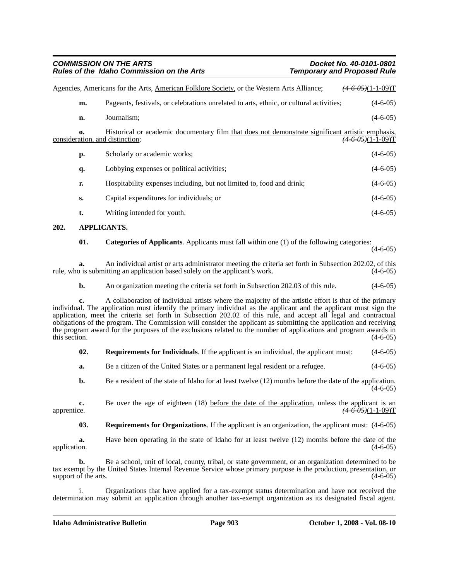| <b>COMMISSION ON THE ARTS</b>                    | Docket No. 40-0101-0801            |
|--------------------------------------------------|------------------------------------|
| <b>Rules of the Idaho Commission on the Arts</b> | <b>Temporary and Proposed Rule</b> |

| Agencies, Americans for the Arts, American Folklore Society, or the Western Arts Alliance;<br>$(4-6-0.5)(1-1-0.9)$ T |                                                                                                  |                               |
|----------------------------------------------------------------------------------------------------------------------|--------------------------------------------------------------------------------------------------|-------------------------------|
| m.                                                                                                                   | Pageants, festivals, or celebrations unrelated to arts, ethnic, or cultural activities;          |                               |
| n.                                                                                                                   | Journalism;                                                                                      | $(4-6-05)$                    |
| $\mathbf{0}$<br>consideration, and distinction;                                                                      | Historical or academic documentary film that does not demonstrate significant artistic emphasis, | <del>(4-6-05)</del> (1-1-09)T |
| p.                                                                                                                   | Scholarly or academic works;                                                                     | $(4-6-05)$                    |
| q.                                                                                                                   | Lobbying expenses or political activities;                                                       | $(4-6-05)$                    |
| r.                                                                                                                   | Hospitability expenses including, but not limited to, food and drink;                            | $(4-6-05)$                    |
| S.                                                                                                                   | Capital expenditures for individuals; or                                                         | $(4-6-05)$                    |
| t.                                                                                                                   | Writing intended for youth.                                                                      | $(4-6-05)$                    |

#### **202. APPLICANTS.**

#### **01.** Categories of Applicants. Applicants must fall within one (1) of the following categories:

 $(4-6-05)$ 

**a.** An individual artist or arts administrator meeting the criteria set forth in Subsection 202.02, of this b is submitting an application based solely on the applicant's work. (4-6-05) rule, who is submitting an application based solely on the applicant's work.

**b.** An organization meeting the criteria set forth in Subsection 202.03 of this rule.  $(4-6-05)$ 

**c.** A collaboration of individual artists where the majority of the artistic effort is that of the primary individual. The application must identify the primary individual as the applicant and the applicant must sign the application, meet the criteria set forth in Subsection 202.02 of this rule, and accept all legal and contractual obligations of the program. The Commission will consider the applicant as submitting the application and receiving the program award for the purposes of the exclusions related to the number of applications and program awards in this section. (4-6-05) this section.  $(4-6-05)$ 

| 02. |  | <b>Requirements for Individuals</b> . If the applicant is an individual, the applicant must: | $(4-6-05)$ |
|-----|--|----------------------------------------------------------------------------------------------|------------|
|-----|--|----------------------------------------------------------------------------------------------|------------|

**a.** Be a citizen of the United States or a permanent legal resident or a refugee.  $(4-6-05)$ 

**b.** Be a resident of the state of Idaho for at least twelve (12) months before the date of the application.  $(4-6-05)$ 

**c.** Be over the age of eighteen (18) before the date of the application, unless the applicant is an apprentice. *(4-6-05)*(1-1-09)T

**03. Requirements for Organizations**. If the applicant is an organization, the applicant must: (4-6-05)

**a.** Have been operating in the state of Idaho for at least twelve (12) months before the date of the application.  $(4-6-05)$ application. (4-6-05) (and the contract of the contract of the contract of the contract of the contract of the contract of the contract of the contract of the contract of the contract of the contract of the contract of the

**b.** Be a school, unit of local, county, tribal, or state government, or an organization determined to be tax exempt by the United States Internal Revenue Service whose primary purpose is the production, presentation, or support of the arts.  $(4-6-05)$ 

i. Organizations that have applied for a tax-exempt status determination and have not received the determination may submit an application through another tax-exempt organization as its designated fiscal agent.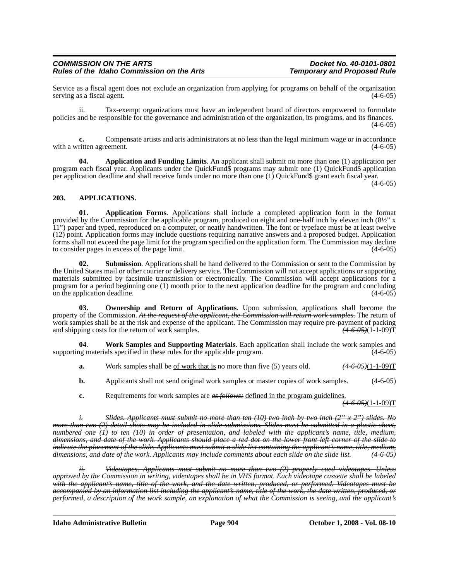Service as a fiscal agent does not exclude an organization from applying for programs on behalf of the organization serving as a fiscal agent.

ii. Tax-exempt organizations must have an independent board of directors empowered to formulate policies and be responsible for the governance and administration of the organization, its programs, and its finances.  $(4-6-05)$ 

**c.** Compensate artists and arts administrators at no less than the legal minimum wage or in accordance with a written agreement. (4-6-05)

**04.** Application and Funding Limits. An applicant shall submit no more than one (1) application per program each fiscal year. Applicants under the QuickFund\$ programs may submit one (1) QuickFund\$ application per application deadline and shall receive funds under no more than one (1) QuickFund\$ grant each fiscal year.

 $(4-6-05)$ 

#### **203. APPLICATIONS.**

**01. Application Forms**. Applications shall include a completed application form in the format provided by the Commission for the applicable program, produced on eight and one-half inch by eleven inch (8½" x 11") paper and typed, reproduced on a computer, or neatly handwritten. The font or typeface must be at least twelve (12) point. Application forms may include questions requiring narrative answers and a proposed budget. Application forms shall not exceed the page limit for the program specified on the application form. The Commission may decline to consider pages in excess of the page limit.

**02. Submission**. Applications shall be hand delivered to the Commission or sent to the Commission by the United States mail or other courier or delivery service. The Commission will not accept applications or supporting materials submitted by facsimile transmission or electronically. The Commission will accept applications for a program for a period beginning one (1) month prior to the next application deadline for the program and concluding on the application deadline. (4-6-05)

**03. Ownership and Return of Applications**. Upon submission, applications shall become the property of the Commission. *At the request of the applicant, the Commission will return work samples.* The return of work samples shall be at the risk and expense of the applicant. The Commission may require pre-payment of packing and shipping costs for the return of work samples.  $\frac{(4-6-0.05)(1-1-0.09)}{2}$ and shipping costs for the return of work samples.

**04**. **Work Samples and Supporting Materials**. Each application shall include the work samples and supporting materials specified in these rules for the applicable program.

- **a.** Work samples shall be <u>of work that is</u> no more than five (5) years old.  $(4-6-0.6)(1-1-0.09)$
- **b.** Applicants shall not send original work samples or master copies of work samples. (4-6-05)
- **c.** Requirements for work samples are *as follows*: defined in the program guidelines.

*(4-6-05)*(1-1-09)T

*i. Slides. Applicants must submit no more than ten (10) two inch by two inch (2" x 2") slides. No more than two (2) detail shots may be included in slide submissions. Slides must be submitted in a plastic sheet, numbered one (1) to ten (10) in order of presentation, and labeled with the applicant's name, title, medium, dimensions, and date of the work. Applicants should place a red dot on the lower front left corner of the slide to indicate the placement of the slide. Applicants must submit a slide list containing the applicant's name, title, medium, dimensions, and date of the work. Applicants may include comments about each slide on the slide list. (4-6-05)*

*ii. Videotapes. Applicants must submit no more than two (2) properly cued videotapes. Unless approved by the Commission in writing, videotapes shall be in VHS format. Each videotape cassette shall be labeled with the applicant's name, title of the work, and the date written, produced, or performed. Videotapes must be accompanied by an information list including the applicant's name, title of the work, the date written, produced, or performed, a description of the work sample, an explanation of what the Commission is seeing, and the applicant's*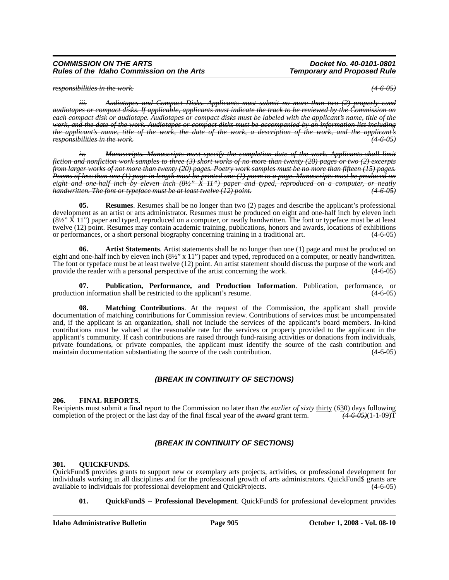*responsibilities in the work. (4-6-05)*

*iii. Audiotapes and Compact Disks. Applicants must submit no more than two (2) properly cued audiotapes or compact disks. If applicable, applicants must indicate the track to be reviewed by the Commission on each compact disk or audiotape. Audiotapes or compact disks must be labeled with the applicant's name, title of the work, and the date of the work. Audiotapes or compact disks must be accompanied by an information list including the applicant's name, title of the work, the date of the work, a description of the work, and the applicant's responsibilities in the work. (4-6-05)*

*iv. Manuscripts. Manuscripts must specify the completion date of the work. Applicants shall limit fiction and nonfiction work samples to three (3) short works of no more than twenty (20) pages or two (2) excerpts from larger works of not more than twenty (20) pages. Poetry work samples must be no more than fifteen (15) pages. Poems of less than one (1) page in length must be printed one (1) poem to a page. Manuscripts must be produced on eight and one-half inch by eleven inch (8½" X 11") paper and typed, reproduced on a computer, or neatly handwritten. The font or typeface must be at least twelve (12) point. (4-6-05)*

**05. Resumes**. Resumes shall be no longer than two (2) pages and describe the applicant's professional development as an artist or arts administrator. Resumes must be produced on eight and one-half inch by eleven inch (8½" X 11") paper and typed, reproduced on a computer, or neatly handwritten. The font or typeface must be at least twelve (12) point. Resumes may contain academic training, publications, honors and awards, locations of exhibitions or performances, or a short personal biography concerning training in a traditional art. (4-6-05)

**06. Artist Statements**. Artist statements shall be no longer than one (1) page and must be produced on eight and one-half inch by eleven inch (8½" x 11") paper and typed, reproduced on a computer, or neatly handwritten. The font or typeface must be at least twelve (12) point. An artist statement should discuss the purpose of the work and provide the reader with a personal perspective of the artist concerning the work. (4-6-05) provide the reader with a personal perspective of the artist concerning the work.

**07. Publication, Performance, and Production Information**. Publication, performance, or production information shall be restricted to the applicant's resume. (4-6-05)

**08. Matching Contributions**. At the request of the Commission, the applicant shall provide documentation of matching contributions for Commission review. Contributions of services must be uncompensated and, if the applicant is an organization, shall not include the services of the applicant's board members. In-kind contributions must be valued at the reasonable rate for the services or property provided to the applicant in the applicant's community. If cash contributions are raised through fund-raising activities or donations from individuals, private foundations, or private companies, the applicant must identify the source of the cash contribution and maintain documentation substantiating the source of the cash contribution. (4-6-05) maintain documentation substantiating the source of the cash contribution.

#### *(BREAK IN CONTINUITY OF SECTIONS)*

#### **206. FINAL REPORTS.**

Recipients must submit a final report to the Commission no later than *the earlier of sixty* thirty (*6*30) days following completion of the project or the last day of the final fiscal year of the *award* grant term. *(4-6-05)*(1-1-09)T

### *(BREAK IN CONTINUITY OF SECTIONS)*

#### **301. QUICKFUND\$.**

QuickFund\$ provides grants to support new or exemplary arts projects, activities, or professional development for individuals working in all disciplines and for the professional growth of arts administrators. QuickFund\$ grants are available to individuals for professional development and QuickProjects. (4-6-05)

**01. QuickFund\$ -- Professional Development**. QuickFund\$ for professional development provides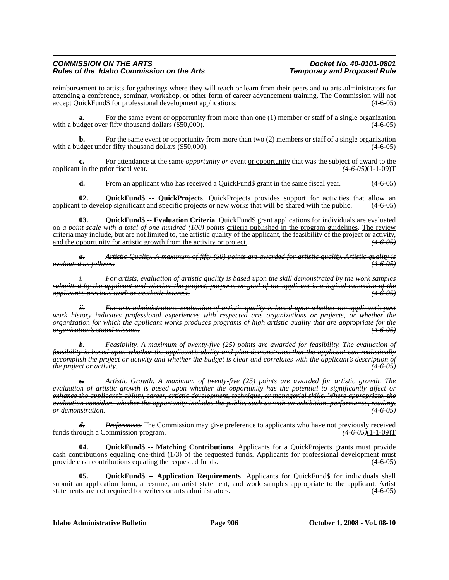reimbursement to artists for gatherings where they will teach or learn from their peers and to arts administrators for attending a conference, seminar, workshop, or other form of career advancement training. The Commission will not accept QuickFund\$ for professional development applications: (4-6-05)

**a.** For the same event or opportunity from more than one (1) member or staff of a single organization with a budget over fifty thousand dollars (\$50,000). (4-6-05)

**b.** For the same event or opportunity from more than two (2) members or staff of a single organization with a budget under fifty thousand dollars (\$50,000). (4-6-05)

**c.** For attendance at the same *opportunity or* event <u>or opportunity</u> that was the subject of award to the t in the prior fiscal year.  $(4.6-0.65)(1.1-0.09)$ applicant in the prior fiscal year.

**d.** From an applicant who has received a QuickFund\$ grant in the same fiscal year.  $(4-6-05)$ 

**02.** QuickFund\$ -- QuickProjects. QuickProjects provides support for activities that allow an t to develop significant and specific projects or new works that will be shared with the public. (4-6-05) applicant to develop significant and specific projects or new works that will be shared with the public.

**03. QuickFund\$ -- Evaluation Criteria**. QuickFund\$ grant applications for individuals are evaluated on *a point scale with a total of one hundred (100) points* criteria published in the program guidelines. The review criteria may include, but are not limited to, the artistic quality of the applicant, the feasibility of the project or activity, and the opportunity for artistic growth from the activity or project. and the opportunity for artistic growth from the activity or project.

*a. Artistic Quality. A maximum of fifty (50) points are awarded for artistic quality. Artistic quality is evaluated as follows: (4-6-05)*

*i. For artists, evaluation of artistic quality is based upon the skill demonstrated by the work samples submitted by the applicant and whether the project, purpose, or goal of the applicant is a logical extension of the applicant's previous work or aesthetic interest. (4-6-05)*

*ii. For arts administrators, evaluation of artistic quality is based upon whether the applicant's past work history indicates professional experiences with respected arts organizations or projects, or whether the organization for which the applicant works produces programs of high artistic quality that are appropriate for the organization's stated mission. (4-6-05)*

*b. Feasibility. A maximum of twenty-five (25) points are awarded for feasibility. The evaluation of feasibility is based upon whether the applicant's ability and plan demonstrates that the applicant can realistically accomplish the project or activity and whether the budget is clear and correlates with the applicant's description of the project or activity. (4-6-05)*

*c. Artistic Growth. A maximum of twenty-five (25) points are awarded for artistic growth. The evaluation of artistic growth is based upon whether the opportunity has the potential to significantly affect or enhance the applicant's ability, career, artistic development, technique, or managerial skills. Where appropriate, the evaluation considers whether the opportunity includes the public, such as with an exhibition, performance, reading, or demonstration. (4-6-05)*

*d. Preferences.* The Commission may give preference to applicants who have not previously received funds through a Commission program. *(4-6-05)*(1-1-09)T

**04. QuickFund\$ -- Matching Contributions**. Applicants for a QuickProjects grants must provide cash contributions equaling one-third (1/3) of the requested funds. Applicants for professional development must provide cash contributions equaling the requested funds. (4-6-05)

**05. QuickFund\$ -- Application Requirements**. Applicants for QuickFund\$ for individuals shall submit an application form, a resume, an artist statement, and work samples appropriate to the applicant. Artist statements are not required for writers or arts administrators. (4-6-05) statements are not required for writers or arts administrators.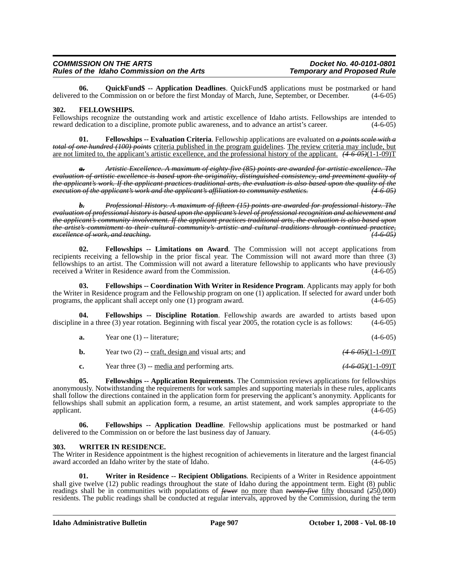**06.** QuickFund\$ -- Application Deadlines. QuickFund\$ applications must be postmarked or hand 1 to the Commission on or before the first Monday of March. June, September, or December. (4-6-05) delivered to the Commission on or before the first Monday of March, June, September, or December.

#### **302. FELLOWSHIPS.**

Fellowships recognize the outstanding work and artistic excellence of Idaho artists. Fellowships are intended to reward dedication to a discipline, promote public awareness, and to advance an artist's career. (4-6-05)

**01. Fellowships -- Evaluation Criteria**. Fellowship applications are evaluated on *a points scale with a total of one hundred (100) points* criteria published in the program guidelines. The review criteria may include, but are not limited to, the applicant's artistic excellence, and the professional history of the applicant. *(4-6-05)*(1-1-09)T

*a. Artistic Excellence. A maximum of eighty-five (85) points are awarded for artistic excellence. The evaluation of artistic excellence is based upon the originality, distinguished consistency, and preeminent quality of the applicant's work. If the applicant practices traditional arts, the evaluation is also based upon the quality of the execution of the applicant's work and the applicant's affiliation to community esthetics. (4-6-05)*

*b. Professional History. A maximum of fifteen (15) points are awarded for professional history. The evaluation of professional history is based upon the applicant's level of professional recognition and achievement and the applicant's community involvement. If the applicant practices traditional arts, the evaluation is also based upon the artist's commitment to their cultural community's artistic and cultural traditions through continued practice, excellence of work, and teaching. (4-6-05)*

**02. Fellowships -- Limitations on Award**. The Commission will not accept applications from recipients receiving a fellowship in the prior fiscal year. The Commission will not award more than three (3) fellowships to an artist. The Commission will not award a literature fellowship to applicants who have previously received a Writer in Residence award from the Commission.

**03. Fellowships -- Coordination With Writer in Residence Program**. Applicants may apply for both the Writer in Residence program and the Fellowship program on one (1) application. If selected for award under both programs, the applicant shall accept only one (1) program award. (4-6-05)

**04. Fellowships -- Discipline Rotation**. Fellowship awards are awarded to artists based upon discipline in a three (3) year rotation. Beginning with fiscal year 2005, the rotation cycle is as follows: (4-6-05)

| <b>a.</b> | Year one $(1)$ -- literature; | $(4-6-05)$ |
|-----------|-------------------------------|------------|
|           |                               |            |

| b. |  | Year two $(2)$ -- craft, design and visual arts; and | <del>(4-6-05)</del> (1-1-09)T |
|----|--|------------------------------------------------------|-------------------------------|
|----|--|------------------------------------------------------|-------------------------------|

**c.** Year three (3) -- media and performing arts. *(4-6-05)*(1-1-09)T

**05. Fellowships -- Application Requirements**. The Commission reviews applications for fellowships anonymously. Notwithstanding the requirements for work samples and supporting materials in these rules, applicants shall follow the directions contained in the application form for preserving the applicant's anonymity. Applicants for fellowships shall submit an application form, a resume, an artist statement, and work samples appropriate to the applicant.  $(4-6-05)$ 

**06. Fellowships -- Application Deadline**. Fellowship applications must be postmarked or hand delivered to the Commission on or before the last business day of January. (4-6-05)

#### **303. WRITER IN RESIDENCE.**

The Writer in Residence appointment is the highest recognition of achievements in literature and the largest financial award accorded an Idaho writer by the state of Idaho. (4-6-05)

**01. Writer in Residence -- Recipient Obligations**. Recipients of a Writer in Residence appointment shall give twelve (12) public readings throughout the state of Idaho during the appointment term. Eight (8) public readings shall be in communities with populations of *fewer* no more than *twenty-five* fifty thousand (250,000) residents. The public readings shall be conducted at regular intervals, approved by the Commission, during the term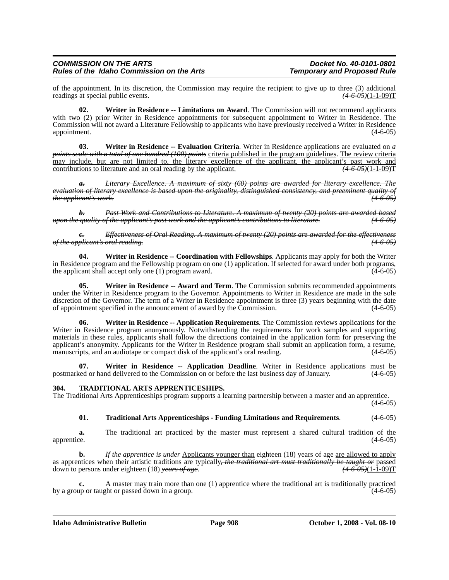of the appointment. In its discretion, the Commission may require the recipient to give up to three (3) additional readings at special public events.  $(4.6.05)(1-1-0.09)$ readings at special public events.

**02. Writer in Residence -- Limitations on Award**. The Commission will not recommend applicants with two (2) prior Writer in Residence appointments for subsequent appointment to Writer in Residence. The Commission will not award a Literature Fellowship to applicants who have previously received a Writer in Residence appointment.

03. Writer in Residence -- Evaluation Criteria. Writer in Residence applications are evaluated on  $\theta$  points scale with a total of one hundred (100) points criteria published in the program guidelines. The review criteri may include, but are not limited to, the literary excellence of the applicant, the applicant's past work and contributions to literature and an oral reading by the applicant.  $(4-6.05)(1-1-0.09)$ contributions to literature and an oral reading by the applicant.

*a. Literary Excellence. A maximum of sixty (60) points are awarded for literary excellence. The evaluation of literary excellence is based upon the originality, distinguished consistency, and preeminent quality of the applicant's work.* 

*b. Past Work and Contributions to Literature. A maximum of twenty (20) points are awarded based upon the quality of the applicant's past work and the applicant's contributions to literature. (4-6-05)*

*c. Effectiveness of Oral Reading. A maximum of twenty (20) points are awarded for the effectiveness of the applicant's oral reading. (4-6-05)*

**04. Writer in Residence -- Coordination with Fellowships**. Applicants may apply for both the Writer in Residence program and the Fellowship program on one (1) application. If selected for award under both programs, the application shall accept only one (1) program award. the applicant shall accept only one  $(1)$  program award.

**Writer in Residence -- Award and Term**. The Commission submits recommended appointments under the Writer in Residence program to the Governor. Appointments to Writer in Residence are made in the sole discretion of the Governor. The term of a Writer in Residence appointment is three (3) years beginning with the date of appointment specified in the announcement of award by the Commission. (4-6-05) of appointment specified in the announcement of award by the  $\tilde{C}$ ommission.

**06. Writer in Residence -- Application Requirements**. The Commission reviews applications for the Writer in Residence program anonymously. Notwithstanding the requirements for work samples and supporting materials in these rules, applicants shall follow the directions contained in the application form for preserving the applicant's anonymity. Applicants for the Writer in Residence program shall submit an application form, a resume, manuscripts, and an audiotape or compact disk of the applicant's oral reading. (4-6-05)

**Writer in Residence -- Application Deadline**. Writer in Residence applications must be nd delivered to the Commission on or before the last business day of January. (4-6-05) postmarked or hand delivered to the Commission on or before the last business day of January.

#### **304. TRADITIONAL ARTS APPRENTICESHIPS.**

The Traditional Arts Apprenticeships program supports a learning partnership between a master and an apprentice.

 $(4-6-05)$ 

#### **01. Traditional Arts Apprenticeships - Funding Limitations and Requirements**. (4-6-05)

**a.** The traditional art practiced by the master must represent a shared cultural tradition of the apprentice. (4-6-05)

**b.** *If the apprentice is under* Applicants younger than eighteen (18) years of age <u>are allowed to apply</u> as apprentices when their artistic traditions are typically, the traditional art must traditionally be taught or passed<br>down to persons under eighteen (18) vears of age.<br>(4 6 05)(1-1-09) down to persons under eighteen (18) *years of age*.

**c.** A master may train more than one (1) apprentice where the traditional art is traditionally practiced up or taught or passed down in a group. by a group or taught or passed down in a group.

**Idaho Administrative Bulletin Page 908 October 1, 2008 - Vol. 08-10**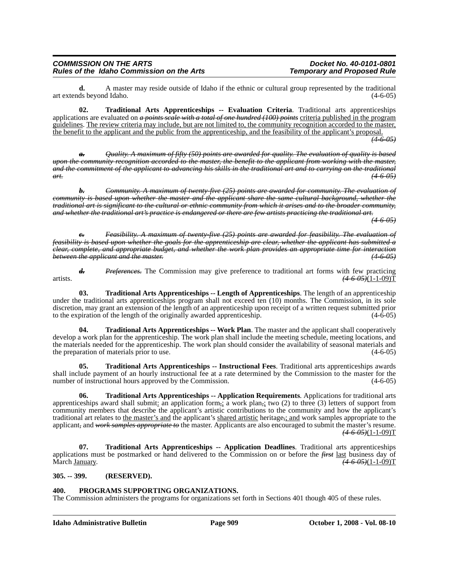**d.** A master may reside outside of Idaho if the ethnic or cultural group represented by the traditional ds beyond Idaho. (4-6-05) art extends beyond Idaho.

**02. Traditional Arts Apprenticeships -- Evaluation Criteria**. Traditional arts apprenticeships applications are evaluated on *a points scale with a total of one hundred (100) points* criteria published in the program guidelines. The review criteria may include, but are not limited to, the community recognition accorded to the master, the benefit to the applicant and the public from the apprenticeship, and the feasibility of the applicant's proposal.

*(4-6-05)*

*a. Quality. A maximum of fifty (50) points are awarded for quality. The evaluation of quality is based upon the community recognition accorded to the master, the benefit to the applicant from working with the master, and the commitment of the applicant to advancing his skills in the traditional art and to carrying on the traditional art. (4-6-05)*

*b. Community. A maximum of twenty-five (25) points are awarded for community. The evaluation of community is based upon whether the master and the applicant share the same cultural background, whether the traditional art is significant to the cultural or ethnic community from which it arises and to the broader community, and whether the traditional art's practice is endangered or there are few artists practicing the traditional art.*

*(4-6-05)*

*c. Feasibility. A maximum of twenty-five (25) points are awarded for feasibility. The evaluation of feasibility is based upon whether the goals for the apprenticeship are clear, whether the applicant has submitted a clear, complete, and appropriate budget, and whether the work plan provides an appropriate time for interaction between the applicant and the master. (4-6-05)*

*d. Preferences.* The Commission may give preference to traditional art forms with few practicing artists. *(4-6-05)*(1-1-09)T

**03. Traditional Arts Apprenticeships -- Length of Apprenticeships**. The length of an apprenticeship under the traditional arts apprenticeships program shall not exceed ten (10) months. The Commission, in its sole discretion, may grant an extension of the length of an apprenticeship upon receipt of a written request submitted prior to the expiration of the length of the originally awarded apprenticeship.  $(4-6-05)$ 

**04.** Traditional Arts Apprenticeships -- Work Plan. The master and the applicant shall cooperatively develop a work plan for the apprenticeship. The work plan shall include the meeting schedule, meeting locations, and the materials needed for the apprenticeship. The work plan should consider the availability of seasonal materials and the preparation of materials prior to use. (4-6-05)

**05. Traditional Arts Apprenticeships -- Instructional Fees**. Traditional arts apprenticeships awards shall include payment of an hourly instructional fee at a rate determined by the Commission to the master for the number of instructional hours approved by the Commission. (4-6-05)

**06. Traditional Arts Apprenticeships -- Application Requirements**. Applications for traditional arts apprenticeships award shall submit: an application form<sub>*i*</sub>; a work plan<sub>*i*</sub> two (2) to three (3) letters of support from community members that describe the applicant's artistic contributions to the community and how the applicant's traditional art relates to the master's and the applicant's shared artistic heritage*,*; and work samples appropriate to the applicant*,* and *work samples appropriate to* the master. Applicants are also encouraged to submit the master's resume. *(4-6-05)*(1-1-09)T

**07. Traditional Arts Apprenticeships -- Application Deadlines**. Traditional arts apprenticeships applications must be postmarked or hand delivered to the Commission on or before the *first* last business day of March January. *(4-6-05)*(1-1-09)T

#### **305. -- 399. (RESERVED).**

#### **400. PROGRAMS SUPPORTING ORGANIZATIONS.**

The Commission administers the programs for organizations set forth in Sections 401 though 405 of these rules.

**Idaho Administrative Bulletin Page 909 October 1, 2008 - Vol. 08-10**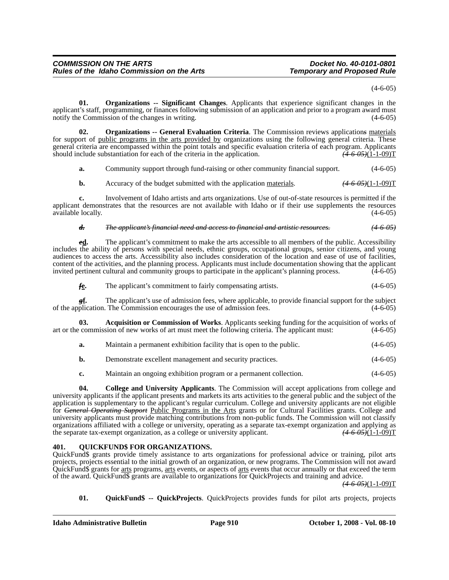$(4-6-05)$ 

**01. Organizations -- Significant Changes**. Applicants that experience significant changes in the applicant's staff, programming, or finances following submission of an application and prior to a program award must notify the Commission of the changes in writing.

**02. Organizations -- General Evaluation Criteria**. The Commission reviews application*s* materials for support of public programs in the arts provided by organizations using the following general criteria. These general criteria are encompassed within the point totals and specific evaluation criteria of each program. Applicants should include substantiation for each of the criteria in the application.  $(4-6-0.06)(1-1-0.09)$ should include substantiation for each of the criteria in the application.

**a.** Community support through fund-raising or other community financial support.  $(4-6-05)$ 

**b.** Accuracy of the budget submitted with the application materials.  $(4.6-0.65)(1-1-0.09)$ T

**c.** Involvement of Idaho artists and arts organizations. Use of out-of-state resources is permitted if the applicant demonstrates that the resources are not available with Idaho or if their use supplements the resources available locally. (4-6-05)

#### *d. The applicant's financial need and access to financial and artistic resources. (4-6-05)*

*e***<u>d</u>.** The applicant's commitment to make the arts accessible to all members of the public. Accessibility includes the ability of persons with special needs, ethnic groups, occupational groups, senior citizens, and young audiences to access the arts. Accessibility also includes consideration of the location and ease of use of facilities, content of the activities, and the planning process. Applicants must include documentation showing that the applicant invited pertinent cultural and community groups to participate in the applicant's planning process.

*f***e.** The applicant's commitment to fairly compensating artists. (4-6-05)

*g***f.** The applicant's use of admission fees, where applicable, to provide financial support for the subject of the application. The Commission encourages the use of admission fees. (4-6-05)

**03. Acquisition or Commission of Works**. Applicants seeking funding for the acquisition of works of art or the commission of new works of art must meet the following criteria. The applicant must: (4-6-05)

**a.** Maintain a permanent exhibition facility that is open to the public. (4-6-05)

- **b.** Demonstrate excellent management and security practices. (4-6-05)
- **c.** Maintain an ongoing exhibition program or a permanent collection. (4-6-05)

**04. College and University Applicants**. The Commission will accept applications from college and university applicants if the applicant presents and markets its arts activities to the general public and the subject of the application is supplementary to the applicant's regular curriculum. College and university applicants are not eligible for *General Operating Support* Public Programs in the Arts grants or for Cultural Facilities grants. College and university applicants must provide matching contributions from non-public funds. The Commission will not classify organizations affiliated with a college or university, operating as a separate tax-exempt organization and applying as the separate tax-exempt organization, as a college or university applicant. *(4-6-05)*(1-1-09)T

#### **401. QUICKFUND\$ FOR ORGANIZATIONS.**

QuickFund\$ grants provide timely assistance to arts organizations for professional advice or training, pilot arts projects, projects essential to the initial growth of an organization, or new programs. The Commission will not award QuickFund\$ grants for arts programs, arts events, or aspects of arts events that occur annually or that exceed the term of the award. QuickFund\$ grants are available to organizations for QuickProjects and training and advice.

*(4-6-05)*(1-1-09)T

**01. QuickFund\$ -- QuickProjects**. QuickProjects provides funds for pilot arts projects, projects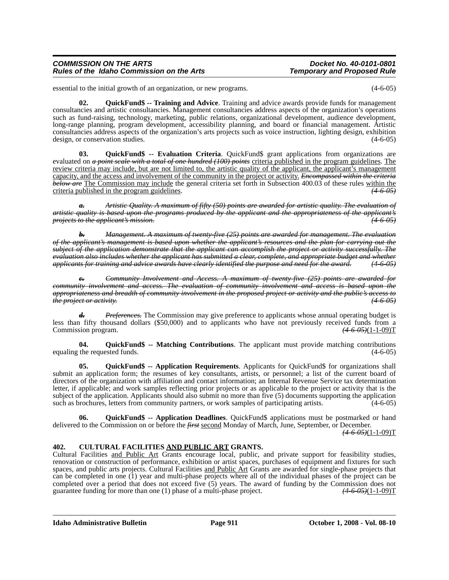essential to the initial growth of an organization, or new programs. (4-6-05)

**02. QuickFund\$ -- Training and Advice**. Training and advice awards provide funds for management consultancies and artistic consultancies. Management consultancies address aspects of the organization's operations such as fund-raising, technology, marketing, public relations, organizational development, audience development, long-range planning, program development, accessibility planning, and board or financial management. Artistic consultancies address aspects of the organization's arts projects such as voice instruction, lighting design, exhibition design, or conservation studies. (4-6-05)

**03. QuickFund\$ -- Evaluation Criteria**. QuickFund\$ grant applications from organizations are evaluated on *a point scale with a total of one hundred (100) points* criteria published in the program guidelines. The review criteria may include, but are not limited to, the artistic quality of the applicant, the applicant's management capacity, and the access and involvement of the community in the project or activity. *Encompassed within the criteria below are* The Commission may include the general criteria set forth in Subsection 400.03 of these rules within the criteria published in the program guidelines. *(4-6-05)*

*a. Artistic Quality. A maximum of fifty (50) points are awarded for artistic quality. The evaluation of artistic quality is based upon the programs produced by the applicant and the appropriateness of the applicant's projects to the applicant's mission. (4-6-05)*

*b. Management. A maximum of twenty-five (25) points are awarded for management. The evaluation of the applicant's management is based upon whether the applicant's resources and the plan for carrying out the subject of the application demonstrate that the applicant can accomplish the project or activity successfully. The evaluation also includes whether the applicant has submitted a clear, complete, and appropriate budget and whether applicants for training and advice awards have clearly identified the purpose and need for the award. (4-6-05)*

*c. Community Involvement and Access. A maximum of twenty-five (25) points are awarded for community involvement and access. The evaluation of community involvement and access is based upon the appropriateness and breadth of community involvement in the proposed project or activity and the public's access to the project or activity. (4-6-05)*

*d. Preferences.* The Commission may give preference to applicants whose annual operating budget is less than fifty thousand dollars (\$50,000) and to applicants who have not previously received funds from a Commission program.  $(4-6.05)(1-1-0.09)$ T Commission program.

**04. QuickFund\$ -- Matching Contributions**. The applicant must provide matching contributions equaling the requested funds. (4-6-05)

**05. QuickFund\$ -- Application Requirements**. Applicants for QuickFund\$ for organizations shall submit an application form; the resumes of key consultants, artists, or personnel; a list of the current board of directors of the organization with affiliation and contact information; an Internal Revenue Service tax determination letter, if applicable; and work samples reflecting prior projects or as applicable to the project or activity that is the subject of the application. Applicants should also submit no more than five (5) documents supporting the application such as brochures, letters from community partners, or work samples of participating artists. (4-6-05) such as brochures, letters from community partners, or work samples of participating artists.

**06. QuickFund\$ -- Application Deadlines**. QuickFund\$ applications must be postmarked or hand delivered to the Commission on or before the *first* second Monday of March, June, September, or December.

*(4-6-05)*(1-1-09)T

#### **402. CULTURAL FACILITIES AND PUBLIC ART GRANTS.**

Cultural Facilities and Public Art Grants encourage local, public, and private support for feasibility studies, renovation or construction of performance, exhibition or artist spaces, purchases of equipment and fixtures for such spaces, and public arts projects. Cultural Facilities and Public Art Grants are awarded for single-phase projects that can be completed in one (1) year and multi-phase projects where all of the individual phases of the project can be completed over a period that does not exceed five (5) years. The award of funding by the Commission does not guarantee funding for more than one (1) phase of a multi-phase project.  $(4.6.05)(1-1-0.09)$ guarantee funding for more than one (1) phase of a multi-phase project.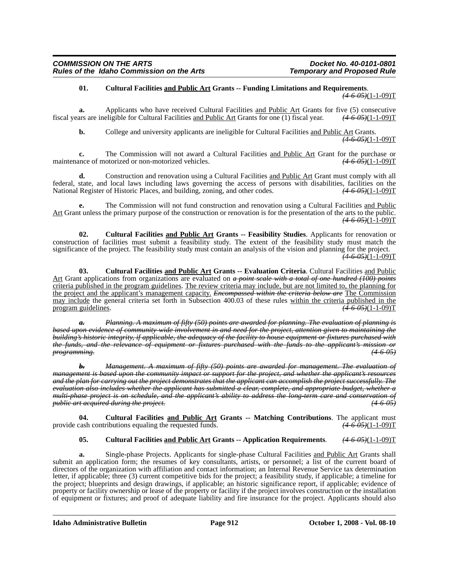#### **01. Cultural Facilities and Public Art Grants -- Funding Limitations and Requirements**.

*(4-6-05)*(1-1-09)T

**a.** Applicants who have received Cultural Facilities and Public Art Grants for five (5) consecutive fiscal years are ineligible for Cultural Facilities and Public Art Grants for one (1) fiscal year. *(4-6-05)*(1-1-09)T

**b.** College and university applicants are ineligible for Cultural Facilities and Public Art Grants. *(4-6-05)*(1-1-09)T

**c.** The Commission will not award a Cultural Facilities and Public Art Grant for the purchase or none-motorized vehicles.  $(4.6.05)(1-1-0.09)$ maintenance of motorized or non-motorized vehicles.

**d.** Construction and renovation using a Cultural Facilities and Public Art Grant must comply with all federal, state, and local laws including laws governing the access of persons with disabilities, facilities on the National Register of Historic Places, and building, zoning, and other codes.  $(4-6-0.05)(1-1-0.09)$ National Register of Historic Places, and building, zoning, and other codes.

**e.** The Commission will not fund construction and renovation using a Cultural Facilities and Public Art Grant unless the primary purpose of the construction or renovation is for the presentation of the arts to the public.  $(4-6-05)(1-1-09)T$ 

**02. Cultural Facilities and Public Art Grants -- Feasibility Studies**. Applicants for renovation or construction of facilities must submit a feasibility study. The extent of the feasibility study must match the significance of the project. The feasibility study must contain an analysis of the vision and planning for the project. *(4-6-05)*(1-1-09)T

**03. Cultural Facilities and Public Art Grants -- Evaluation Criteria**. Cultural Facilities and Public Art Grant applications from organizations are evaluated on *a point scale with a total of one hundred (100) points* criteria published in the program guidelines. The review criteria may include, but are not limited to, the planning for the project and the applicant's management capacity. *Encompassed within the criteria below are* The Commission may include the general criteria set forth in Subsection 400.03 of these rules within the criteria published in the program guidelines.  $\sqrt{4.6-0.09}$   $(1.1-0.09)$  T program guidelines.

*a. Planning. A maximum of fifty (50) points are awarded for planning. The evaluation of planning is based upon evidence of community-wide involvement in and need for the project, attention given to maintaining the building's historic integrity, if applicable, the adequacy of the facility to house equipment or fixtures purchased with the funds, and the relevance of equipment or fixtures purchased with the funds to the applicant's mission or programming. (4-6-05)*

*b. Management. A maximum of fifty (50) points are awarded for management. The evaluation of management is based upon the community impact or support for the project, and whether the applicant's resources and the plan for carrying out the project demonstrates that the applicant can accomplish the project successfully. The evaluation also includes whether the applicant has submitted a clear, complete, and appropriate budget, whether a multi-phase project is on schedule, and the applicant's ability to address the long-term care and conservation of public art acquired during the project. (4-6-05)*

**04. Cultural Facilities and Public Art Grants -- Matching Contributions**. The applicant must provide cash contributions equaling the requested funds. *(4-6-05)*(1-1-09)T

#### **05. Cultural Facilities and Public Art Grants -- Application Requirements**. *(4-6-05)*(1-1-09)T

**a.** Single-phase Projects. Applicants for single-phase Cultural Facilities and Public Art Grants shall submit an application form; the resumes of key consultants, artists, or personnel; a list of the current board of directors of the organization with affiliation and contact information; an Internal Revenue Service tax determination letter, if applicable; three (3) current competitive bids for the project; a feasibility study, if applicable; a timeline for the project; blueprints and design drawings, if applicable; an historic significance report, if applicable; evidence of property or facility ownership or lease of the property or facility if the project involves construction or the installation of equipment or fixtures; and proof of adequate liability and fire insurance for the project. Applicants should also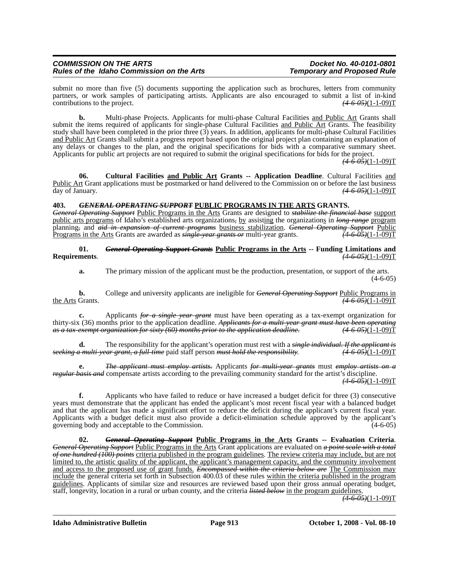submit no more than five (5) documents supporting the application such as brochures, letters from community partners, or work samples of participating artists. Applicants are also encouraged to submit a list of in-kind contributions to the project. *(4-6-05)*(1-1-09)T

**b.** Multi-phase Projects. Applicants for multi-phase Cultural Facilities and Public Art Grants shall submit the items required of applicants for single-phase Cultural Facilities and Public Art Grants. The feasibility study shall have been completed in the prior three  $(3)$  years. In addition, applicants for multi-phase Cultural Facilities and Public Art Grants shall submit a progress report based upon the original project plan containing an explanation of any delays or changes to the plan, and the original specifications for bids with a comparative summary sheet. Applicants for public art projects are not required to submit the original specifications for bids for the project.

*(4-6-05)*(1-1-09)T

**06. Cultural Facilities and Public Art Grants -- Application Deadline**. Cultural Facilities and Public Art Grant applications must be postmarked or hand delivered to the Commission on or before the last business day of January. *(4-6-05)*(1-1-09)T

#### **403.** *GENERAL OPERATING SUPPORT* **PUBLIC PROGRAMS IN THE ARTS GRANTS.**

*General Operating Support* Public Programs in the Arts Grants are designed to *stabilize the financial base* support public arts programs of Idaho's established arts organizations*,* by assisting the organizations in *long-range* program planning*,* and *aid in expansion of current programs* business stabilization. *General Operating Support* Public Programs in the Arts Grants are awarded as *single-year grants or* multi-year grants.

#### **01.** *General Operating Support Grants* **Public Programs in the Arts -- Funding Limitations and Requirements**. *(4-6-05)*(1-1-09)T

**a.** The primary mission of the applicant must be the production, presentation, or support of the arts. (4-6-05)

**b.** College and university applicants are ineligible for *General Operating Support Public Programs in* the Arts Grants. *(4-6-05)*(1-1-09)T

**c.** Applicants *for a single year grant* must have been operating as a tax-exempt organization for thirty-six (36) months prior to the application deadline. *Applicants for a multi-year grant must have been operating*<br>*as a tax-exempt organization for sixty (60) months prior to the application deadline.* (4-6-05)(1-1-09 *as a tax-exempt organization for sixty (60) months prior to the application deadline.* 

**d.** The responsibility for the applicant's operation must rest with a *single individual. If the applicant is seeking a multi-year grant, a full-time* paid staff person *must hold the responsibility*. *(4-6-05)*(1-1-09)T

**e.** *The applicant must employ artists.* Applicants *for multi-year grants* must *employ artists on a regular basis and* compensate artists according to the prevailing community standard for the artist's discipline. *(4-6-05)*(1-1-09)T

**f.** Applicants who have failed to reduce or have increased a budget deficit for three (3) consecutive years must demonstrate that the applicant has ended the applicant's most recent fiscal year with a balanced budget and that the applicant has made a significant effort to reduce the deficit during the applicant's current fiscal year. Applicants with a budget deficit must also provide a deficit-elimination schedule approved by the applicant's governing body and acceptable to the Commission. (4-6-05)

**02.** *General Operating Support* **Public Programs in the Arts Grants -- Evaluation Criteria**. *General Operating Support* Public Programs in the Arts Grant applications are evaluated on *a point scale with a total of one hundred (100) points* criteria published in the program guidelines. The review criteria may include, but are not limited to, the artistic quality of the applicant, the applicant's management capacity, and the community involvement and access to the proposed use of grant funds. *Encompassed within the criteria below are* The Commission may include the general criteria set forth in Subsection 400.03 of these rules within the criteria published in the program guidelines. Applicants of similar size and resources are reviewed based upon their gross annual operating budget, staff, longevity, location in a rural or urban county, and the criteria *listed below* in the program guidelines.

*(4-6-05)*(1-1-09)T

**Idaho Administrative Bulletin Page 913 October 1, 2008 - Vol. 08-10**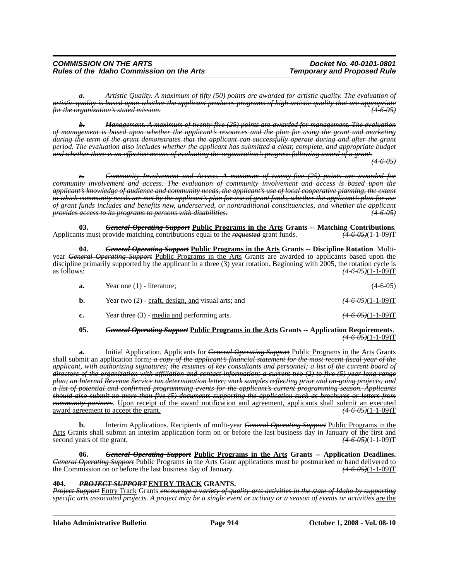*a. Artistic Quality. A maximum of fifty (50) points are awarded for artistic quality. The evaluation of artistic quality is based upon whether the applicant produces programs of high artistic quality that are appropriate for the organization's stated mission. (4-6-05)*

*b. Management. A maximum of twenty-five (25) points are awarded for management. The evaluation of management is based upon whether the applicant's resources and the plan for using the grant and marketing during the term of the grant demonstrates that the applicant can successfully operate during and after the grant period. The evaluation also includes whether the applicant has submitted a clear, complete, and appropriate budget and whether there is an effective means of evaluating the organization's progress following award of a grant.*

*(4-6-05)*

*c. Community Involvement and Access. A maximum of twenty-five (25) points are awarded for community involvement and access. The evaluation of community involvement and access is based upon the applicant's knowledge of audience and community needs, the applicant's use of local cooperative planning, the extent to which community needs are met by the applicant's plan for use of grant funds, whether the applicant's plan for use of grant funds includes and benefits new, underserved, or nontraditional constituencies, and whether the applicant provides access to its programs to persons with disabilities. (4-6-05)*

**03.** *General Operating Support* **Public Programs in the Arts Grants -- Matching Contributions**. Applicants must provide matching contributions equal to the *requested* grant funds. *(4-6-05)*(1-1-09)T

**04.** *General Operating Support* **Public Programs in the Arts Grants -- Discipline Rotation**. Multiyear *General Operating Support* Public Programs in the Arts Grants are awarded to applicants based upon the discipline primarily supported by the applicant in a three (3) year rotation. Beginning with 2005, the rotation cycle is as follows: *(4-6-05)*(1-1-09)T

| а. | Year one $(1)$ - literature;                         | $(4-6-05)$                     |
|----|------------------------------------------------------|--------------------------------|
| b. | Year two $(2)$ - craft, design, and visual arts; and | $\frac{(4-6-0.5)(1-1-0.9)}{T}$ |
| c. | Year three $(3)$ - <u>media and</u> performing arts. | $\frac{(4.6.05)(1-1-09)}{T}$   |

#### **05.** *General Operating Support* **Public Programs in the Arts Grants -- Application Requirements**. *(4-6-05)*(1-1-09)T

**a.** Initial Application. Applicants for *General Operating Support* Public Programs in the Arts Grants shall submit an application form*; a copy of the applicant's financial statement for the most recent fiscal year of the applicant, with authorizing signatures; the resumes of key consultants and personnel; a list of the current board of directors of the organization with affiliation and contact information; a current two (2) to five (5) year long-range plan; an Internal Revenue Service tax determination letter; work samples reflecting prior and on-going projects; and a list of potential and confirmed programming events for the applicant's current programming season. Applicants should also submit no more than five (5) documents supporting the application such as brochures or letters from community partners*. Upon receipt of the award notification and agreement, applicants shall submit an executed award agreement to accept the grant. *(4-6-05)*(1-1-09)T

**b.** Interim Applications. Recipients of multi-year *General Operating Support* Public Programs in the Arts Grants shall submit an interim application form on or before the last business day in January of the first and second years of the grant. *(4-6-05)*(1-1-09)T

**06.** *General Operating Support* **Public Programs in the Arts Grants -- Application Deadlines.** *General Operating Support* Public Programs in the Arts Grant applications must be postmarked or hand delivered to the Commission on or before the last business day of January. *(4-6-05)*(1-1-09)T

#### **404.** *PROJECT SUPPORT* **ENTRY TRACK GRANTS.**

*Project Support* Entry Track Grants *encourage a variety of quality arts activities in the state of Idaho by supporting specific arts associated projects. A project may be a single event or activity or a season of events or activities* are the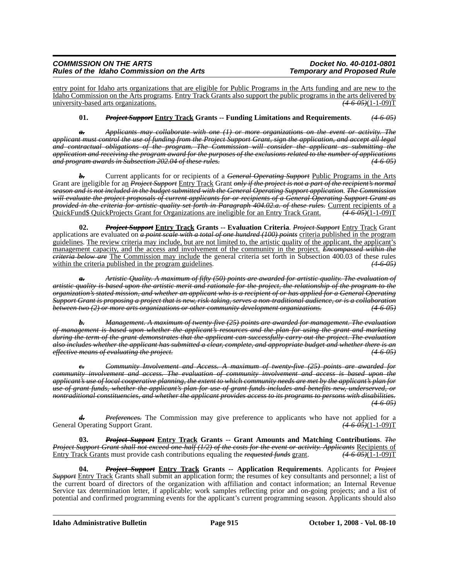entry point for Idaho arts organizations that are eligible for Public Programs in the Arts funding and are new to the Idaho Commission on the Arts programs. Entry Track Grants also support the public programs in the arts delivered by university-based arts organizations. *(4-6-05)*(1-1-09)T

#### **01.** *Project Support* **Entry Track Grants -- Funding Limitations and Requirements**. *(4-6-05)*

*a. Applicants may collaborate with one (1) or more organizations on the event or activity. The applicant must control the use of funding from the Project Support Grant, sign the application, and accept all legal and contractual obligations of the program. The Commission will consider the applicant as submitting the application and receiving the program award for the purposes of the exclusions related to the number of applications and program awards in Subsection 202.04 of these rules. (4-6-05)*

*b.* Current applicants for or recipients of a *General Operating Support* Public Programs in the Arts Grant are ineligible for an *Project Support* Entry Track Grant *only if the project is not a part of the recipient's normal season and is not included in the budget submitted with the General Operating Support application*. *The Commission will evaluate the project proposals of current applicants for or recipients of a General Operating Support Grant as provided in the criteria for artistic quality set forth in Paragraph 404.02.a. of these rules.* Current recipients of a QuickFund\$ QuickProjects Grant for Organizations are ineligible for an Entry Track Grant. *(4-6-05)*(1-1-09)T

**02.** *Project Support* **Entry Track Grants -- Evaluation Criteria**. *Project Support* Entry Track Grant applications are evaluated on *a point scale with a total of one hundred (100) points* criteria published in the program guidelines. The review criteria may include, but are not limited to, the artistic quality of the applicant, the applicant's management capacity, and the access and involvement of the community in the project. *Encompassed within the criteria below are* The Commission may include the general criteria set forth in Subsection 400.03 of these rules within the criteria published in the program guidelines.  $(4-6-05)$ 

*a. Artistic Quality. A maximum of fifty (50) points are awarded for artistic quality. The evaluation of artistic quality is based upon the artistic merit and rationale for the project, the relationship of the program to the organization's stated mission, and whether an applicant who is a recipient of or has applied for a General Operating Support Grant is proposing a project that is new, risk-taking, serves a non-traditional audience, or is a collaboration between two (2) or more arts organizations or other community development organizations. (4-6-05)*

*b. Management. A maximum of twenty-five (25) points are awarded for management. The evaluation of management is based upon whether the applicant's resources and the plan for using the grant and marketing during the term of the grant demonstrates that the applicant can successfully carry out the project. The evaluation also includes whether the applicant has submitted a clear, complete, and appropriate budget and whether there is an effective means of evaluating the project. (4-6-05)*

*Community Involvement and Access. A maximum of twenty-five (25) points are awarded for community involvement and access. The evaluation of community involvement and access is based upon the applicant's use of local cooperative planning, the extent to which community needs are met by the applicant's plan for use of grant funds, whether the applicant's plan for use of grant funds includes and benefits new, underserved, or nontraditional constituencies, and whether the applicant provides access to its programs to persons with disabilities. (4-6-05)*

*Preferences*. The Commission may give preference to applicants who have not applied for a General Operating Support Grant. *(4-6-05)*(1-1-09)T

**03.** *Project Support* **Entry Track Grants -- Grant Amounts and Matching Contributions**. *The Project Support Grant shall not exceed one-half (1/2) of the costs for the event or activity. Applicants* Recipients of Entry Track Grants must provide cash contributions equaling the *requested funds* grant. *(4-6-05)*(1-1-09)T

**04.** *Project Support* **Entry Track Grants -- Application Requirements**. Applicants for *Project Support* Entry Track Grants shall submit an application form; the resumes of key consultants and personnel; a list of the current board of directors of the organization with affiliation and contact information; an Internal Revenue Service tax determination letter, if applicable; work samples reflecting prior and on-going projects; and a list of potential and confirmed programming events for the applicant's current programming season. Applicants should also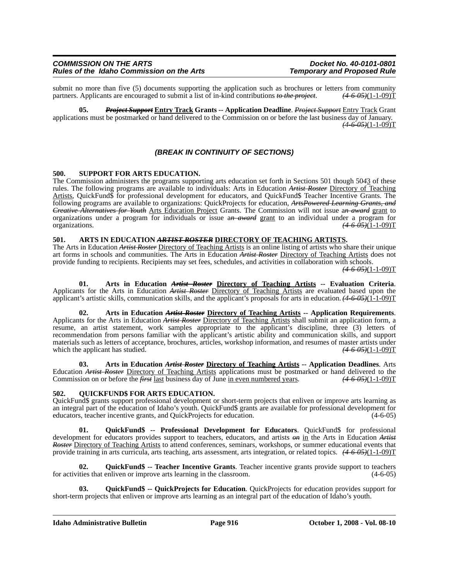submit no more than five (5) documents supporting the application such as brochures or letters from community partners. Applicants are encouraged to submit a list of in-kind contributions to the project.  $(4.6.05)(1-1-0.09$ partners. Applicants are encouraged to submit a list of in-kind contributions *to the project*.

**05.** *Project Support* **Entry Track Grants -- Application Deadline**. *Project Support* Entry Track Grant applications must be postmarked or hand delivered to the Commission on or before the last business day of January. *(4-6-05)*(1-1-09)T

#### *(BREAK IN CONTINUITY OF SECTIONS)*

#### **500. SUPPORT FOR ARTS EDUCATION.**

The Commission administers the programs supporting arts education set forth in Sections 501 though 50*4*3 of these rules. The following programs are available to individuals: Arts in Education *Artist Roster* Directory of Teaching Artists, QuickFund\$ for professional development for educators, and QuickFund\$ Teacher Incentive Grants. The following programs are available to organizations: QuickProjects for education, *ArtsPowered Learning Grants, and Creative Alternatives for Youth* Arts Education Project Grants. The Commission will not issue a*n award* grant to organizations under a program for individuals or issue a*n award* grant to an individual under a program for organizations. *(4-6-05)*(1-1-09)T

# **501. ARTS IN EDUCATION** *ARTIST ROSTER* **DIRECTORY OF TEACHING ARTISTS.** The Arts in Education *Artist Roster* Directory of Teaching Artists is an online listing of artists who share their unique

art forms in schools and communities. The Arts in Education *Artist Roster* Directory of Teaching Artists does not provide funding to recipients. Recipients may set fees, schedules, and activities in collaboration with schools.

*(4-6-05)*(1-1-09)T

01. Arts in Education Artist Roster Directory of Teaching Artists -- Evaluation Criteria.<br>Applicants for the Arts in Education Artist Roster Directory of Teaching Artists are evaluated based upon the applicant's artistic skills, communication skills, and the applicant's proposals for arts in education. *(4-6-05)*(1-1-09)T

**02. Arts in Education** *Artist Roster* **Directory of Teaching Artists -- Application Requirements**. Applicants for the Arts in Education *Artist Roster* Directory of Teaching Artists shall submit an application form, a resume, an artist statement, work samples appropriate to the applicant's discipline, three (3) letters of recommendation from persons familiar with the applicant's artistic ability and communication skills, and support materials such as letters of acceptance, brochures, articles, workshop information, and resumes of master artists under which the applicant has studied.  $(4-6.95)(1-1.09)$ T which the applicant has studied.

**03. Arts in Education** *Artist Roster* **Directory of Teaching Artists -- Application Deadlines**. Arts Education *Artist Roster* Directory of Teaching Artists applications must be postmarked or hand delivered to the Commission on or before the *first* last business day of June in even numbered years. (4.6.05)(1-1-09)T Commission on or before the *first* last business day of June in even numbered years.

#### **502. QUICKFUND\$ FOR ARTS EDUCATION.**

QuickFund\$ grants support professional development or short-term projects that enliven or improve arts learning as an integral part of the education of Idaho's youth. QuickFund\$ grants are available for professional development for educators, teacher incentive grants, and QuickProjects for education. (4-6-05) educators, teacher incentive grants, and QuickProjects for education.

**01. QuickFund\$ -- Professional Development for Educators**. QuickFund\$ for professional development for educators provides support to teachers, educators, and artists *on* in the Arts in Education *Artist Roster* Directory of Teaching Artists to attend conferences, seminars, workshops, or summer educational events that provide training in arts curricula, arts teaching, arts assessment, arts integration, or related topics. *(4-6-05)*(1-1-09)T

**02. QuickFund\$ -- Teacher Incentive Grants**. Teacher incentive grants provide support to teachers for activities that enliven or improve arts learning in the classroom. (4-6-05)

**03. QuickFund\$ -- QuickProjects for Education**. QuickProjects for education provides support for short-term projects that enliven or improve arts learning as an integral part of the education of Idaho's youth.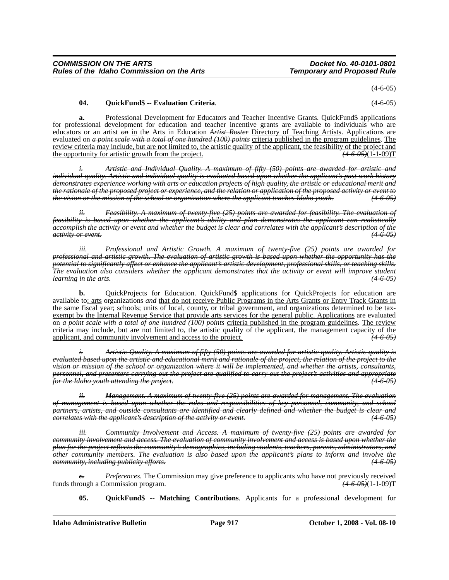$(4-6-05)$ 

#### **04. QuickFund\$ -- Evaluation Criteria**. (4-6-05)

**a.** Professional Development for Educators and Teacher Incentive Grants. QuickFund\$ applications for professional development for education and teacher incentive grants are available to individuals who are educators or an artist *on* in the Arts in Education *Artist Roster* Directory of Teaching Artists. Applications are evaluated on *a point scale with a total of one hundred (100) points* criteria published in the program guidelines. The review criteria may include, but are not limited to, the artistic quality of the applicant, the feasibility of the project and the opportunity for artistic growth from the project.  $(4-6-0.05)(1-1-0.09)$ 

*i. Artistic and Individual Quality. A maximum of fifty (50) points are awarded for artistic and individual quality. Artistic and individual quality is evaluated based upon whether the applicant's past work history demonstrates experience working with arts or education projects of high quality, the artistic or educational merit and the rationale of the proposed project or experience, and the relation or application of the proposed activity or event to the vision or the mission of the school or organization where the applicant teaches Idaho youth. (4-6-05)*

*Feasibility. A maximum of twenty-five (25) points are awarded for feasibility. The evaluation of feasibility is based upon whether the applicant's ability and plan demonstrates the applicant can realistically accomplish the activity or event and whether the budget is clear and correlates with the applicant's description of the activity or event. (4-6-05)*

*iii. Professional and Artistic Growth. A maximum of twenty-five (25) points are awarded for professional and artistic growth. The evaluation of artistic growth is based upon whether the opportunity has the potential to significantly affect or enhance the applicant's artistic development, professional skills, or teaching skills. The evaluation also considers whether the applicant demonstrates that the activity or event will improve student learning in the arts. (4-6-05)*

**b.** QuickProjects for Education. QuickFund\$ applications for QuickProjects for education are available to: arts organizations *and* that do not receive Public Programs in the Arts Grants or Entry Track Grants in the same fiscal year; schools; units of local, county, or tribal government, and organizations determined to be taxexempt by the Internal Revenue Service that provide arts services for the general public. Applications are evaluated on *a point scale with a total of one hundred (100) points* criteria published in the program guidelines. The review criteria may include, but are not limited to, the artistic quality of the applicant, the management capacity of the applicant, and community involvement and access to the project. *(4-6-05)*

*i. Artistic Quality. A maximum of fifty (50) points are awarded for artistic quality. Artistic quality is evaluated based upon the artistic and educational merit and rationale of the project, the relation of the project to the vision or mission of the school or organization where it will be implemented, and whether the artists, consultants, personnel, and presenters carrying out the project are qualified to carry out the project's activities and appropriate for the Idaho youth attending the project. (4-6-05)*

*ii. Management. A maximum of twenty-five (25) points are awarded for management. The evaluation of management is based upon whether the roles and responsibilities of key personnel, community, and school partners, artists, and outside consultants are identified and clearly defined and whether the budget is clear and correlates with the applicant's description of the activity or event.* 

*iii. Community Involvement and Access. A maximum of twenty-five (25) points are awarded for community involvement and access. The evaluation of community involvement and access is based upon whether the plan for the project reflects the community's demographics, including students, teachers, parents, administrators, and other community members. The evaluation is also based upon the applicant's plans to inform and involve the community, including publicity efforts. (4-6-05)*

*Preferences*. The Commission may give preference to applicants who have not previously received<br>
'ommission program. (4-6-05)(1-1-09)T funds through a Commission program.

**05. QuickFund\$ -- Matching Contributions**. Applicants for a professional development for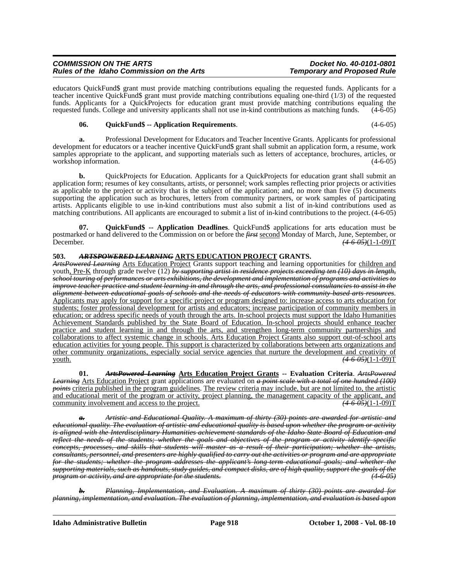educators QuickFund\$ grant must provide matching contributions equaling the requested funds. Applicants for a teacher incentive QuickFund\$ grant must provide matching contributions equaling one-third (1/3) of the requested funds. Applicants for a QuickProjects for education grant must provide matching contributions equaling the requested funds. College and university applicants shall not use in-kind contributions as matching funds. (4-6-05)

#### **06. QuickFund\$ -- Application Requirements**. (4-6-05)

**a.** Professional Development for Educators and Teacher Incentive Grants. Applicants for professional development for educators or a teacher incentive QuickFund\$ grant shall submit an application form, a resume, work samples appropriate to the applicant, and supporting materials such as letters of acceptance, brochures, articles, or workshop information. (4-6-05)

**b.** QuickProjects for Education. Applicants for a QuickProjects for education grant shall submit an application form; resumes of key consultants, artists, or personnel; work samples reflecting prior projects or activities as applicable to the project or activity that is the subject of the application; and, no more than five (5) documents supporting the application such as brochures, letters from community partners, or work samples of participating artists. Applicants eligible to use in-kind contributions must also submit a list of in-kind contributions used as matching contributions. All applicants are encouraged to submit a list of in-kind contributions to the project. (4-6-05)

**07. QuickFund\$ -- Application Deadlines**. QuickFund\$ applications for arts education must be postmarked or hand delivered to the Commission on or before the *first* second Monday of March, June, September, or<br>Pecember,  $(4.6.05)(1-1-0.09)$  $\left(4 - 6 - 0.5\right)$ (1-1-09)**T** 

#### **503.** *ARTSPOWERED LEARNING* **ARTS EDUCATION PROJECT GRANTS.**

*ArtsPowered Learning* Arts Education Project Grants support teaching and learning opportunities for children and youth, Pre-K through grade twelve (12) *by supporting artist in residence projects exceeding ten (10) days in length, school touring of performances or arts exhibitions, the development and implementation of programs and activities to improve teacher practice and student learning in and through the arts, and professional consultancies to assist in the alignment between educational goals of schools and the needs of educators with community-based arts resources*. Applicants may apply for support for a specific project or program designed to: increase access to arts education for students; foster professional development for artists and educators; increase participation of community members in education; or address specific needs of youth through the arts. In-school projects must support the Idaho Humanities Achievement Standards published by the State Board of Education. In-school projects should enhance teacher practice and student learning in and through the arts, and strengthen long-term community partnerships and collaborations to affect systemic change in schools. Arts Education Project Grants also support out-of-school arts education activities for young people. This support is characterized by collaborations between arts organizations and other community organizations, especially social service agencies that nurture the development and creativity of youth. *(4-6-05)*(1-1-09)T

**01.** *ArtsPowered Learning* **Arts Education Project Grants -- Evaluation Criteria**. *ArtsPowered Learning* Arts Education Project grant applications are evaluated on *a point scale with a total of one hundred (100) points* criteria published in the program guidelines. The review criteria may include, but are not limited to, the artistic and educational merit of the program or activity, project planning, the management capacity of the applicant, and community involvement and access to the project. (4.6.05)(1-1-09) community involvement and access to the project.

*a. Artistic and Educational Quality. A maximum of thirty (30) points are awarded for artistic and educational quality. The evaluation of artistic and educational quality is based upon whether the program or activity is aligned with the Interdisciplinary Humanities achievement standards of the Idaho State Board of Education and reflect the needs of the students; whether the goals and objectives of the program or activity identify specific concepts, processes, and skills that students will master as a result of their participation; whether the artists, consultants, personnel, and presenters are highly qualified to carry out the activities or program and are appropriate for the students; whether the program addresses the applicant's long-term educational goals; and whether the supporting materials, such as handouts, study guides, and compact disks, are of high quality, support the goals of the program or activity, and are appropriate for the students.* 

*b. Planning, Implementation, and Evaluation. A maximum of thirty (30) points are awarded for planning, implementation, and evaluation. The evaluation of planning, implementation, and evaluation is based upon*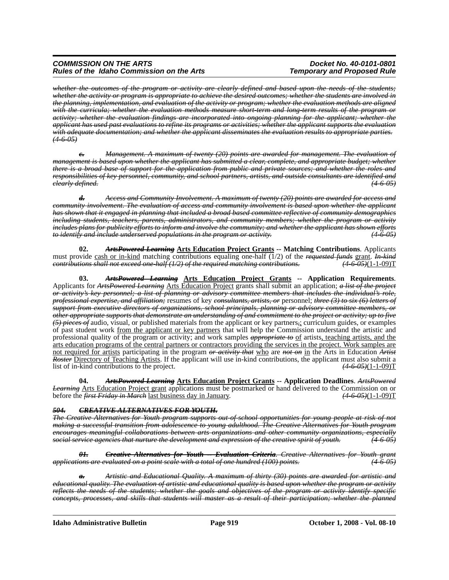*whether the outcomes of the program or activity are clearly defined and based upon the needs of the students; whether the activity or program is appropriate to achieve the desired outcomes; whether the students are involved in the planning, implementation, and evaluation of the activity or program; whether the evaluation methods are aligned with the curricula; whether the evaluation methods measure short-term and long-term results of the program or activity; whether the evaluation findings are incorporated into ongoing planning for the applicant; whether the applicant has used past evaluations to refine its programs or activities; whether the applicant supports the evaluation with adequate documentation; and whether the applicant disseminates the evaluation results to appropriate parties. (4-6-05)*

*c. Management. A maximum of twenty (20) points are awarded for management. The evaluation of management is based upon whether the applicant has submitted a clear, complete, and appropriate budget; whether there is a broad base of support for the application from public and private sources; and whether the roles and responsibilities of key personnel, community, and school partners, artists, and outside consultants are identified and clearly defined. (4-6-05)*

*d. Access and Community Involvement. A maximum of twenty (20) points are awarded for access and community involvement. The evaluation of access and community involvement is based upon whether the applicant has shown that it engaged in planning that included a broad based committee reflective of community demographics including students, teachers, parents, administrators, and community members; whether the program or activity includes plans for publicity efforts to inform and involve the community; and whether the applicant has shown efforts to identify and include underserved populations in the program or activity. (4-6-05)*

**02.** *ArtsPowered Learning* **Arts Education Project Grants -- Matching Contributions**. Applicants must provide cash or in-kind matching contributions equaling one-half (1/2) of the *requested funds* grant. *In-kind*<br> *contributions shall not exceed one-half (1/2) of the required matching contributions.* (4-6-05)(1-1-09 *contributions shall not exceed one-half (1/2) of the required matching contributions.* 

**03.** *ArtsPowered Learning* **Arts Education Project Grants -- Application Requirements**. Applicants for *ArtsPowered Learning* Arts Education Project grants shall submit an application; *a list of the project or activity's key personnel; a list of planning or advisory committee members that includes the individual's role, professional expertise, and affiliation;* resumes of key *consultants, artists, or* personnel; *three (3) to six (6) letters of support from executive directors of organizations, school principals, planning or advisory committee members, or other appropriate supports that demonstrate an understanding of and commitment to the project or activity; up to five (5) pieces of* audio, visual, or published materials from the applicant or key partners*,*; curriculum guides, or examples of past student work from the applicant or key partners that will help the Commission understand the artistic and professional quality of the program or activity; and work samples *appropriate to* of artists, teaching artists, and the arts education programs of the central partners or contractors providing the services in the project. Work samples are not required for artists participating in the program *or activity that* who are *not on* in the Arts in Education *Artist Roster* Directory of Teaching Artists. If the applicant will use in-kind contributions, the applicant must also submit a list of in-kind contributions to the project. *(4-6-05)*(1-1-09)T

**04.** *ArtsPowered Learning* **Arts Education Project Grants -- Application Deadlines**. *ArtsPowered Learning* Arts Education Project grant applications must be postmarked or hand delivered to the Commission on or before the *first Friday in March* last business day in January. *(4-6-05)*(1-1-09)T

#### *504. CREATIVE ALTERNATIVES FOR YOUTH.*

*The Creative Alternatives for Youth program supports out-of-school opportunities for young people at risk of not making a successful transition from adolescence to young adulthood. The Creative Alternatives for Youth program encourages meaningful collaborations between arts organizations and other community organizations, especially social service agencies that nurture the development and expression of the creative spirit of youth. (4-6-05)*

*01. Creative Alternatives for Youth -- Evaluation Criteria. Creative Alternatives for Youth grant applications are evaluated on a point scale with a total of one hundred (100) points. (4-6-05)*

*a. Artistic and Educational Quality. A maximum of thirty (30) points are awarded for artistic and educational quality. The evaluation of artistic and educational quality is based upon whether the program or activity reflects the needs of the students; whether the goals and objectives of the program or activity identify specific concepts, processes, and skills that students will master as a result of their participation; whether the planned*